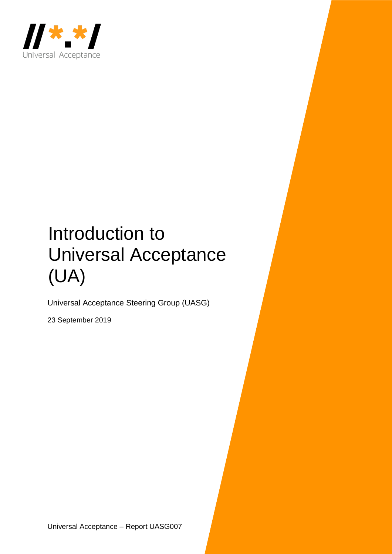

# Introduction to Universal Acceptance (UA)

Universal Acceptance Steering Group (UASG)

23 September 2019

Universal Acceptance – Report UASG007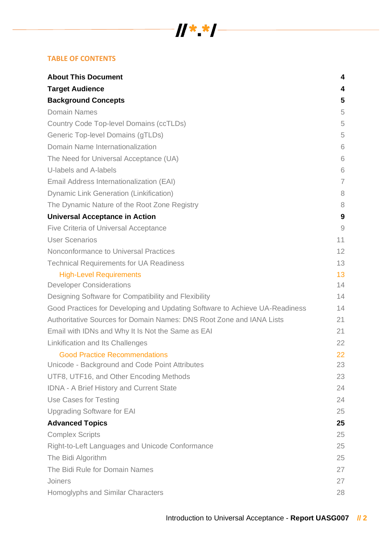#### **TABLE OF CONTENTS**

| <b>About This Document</b>                                                  | 4  |
|-----------------------------------------------------------------------------|----|
| <b>Target Audience</b>                                                      | 4  |
| <b>Background Concepts</b>                                                  | 5  |
| <b>Domain Names</b>                                                         | 5  |
| <b>Country Code Top-level Domains (ccTLDs)</b>                              | 5  |
| Generic Top-level Domains (gTLDs)                                           | 5  |
| Domain Name Internationalization                                            | 6  |
| The Need for Universal Acceptance (UA)                                      | 6  |
| U-labels and A-labels                                                       | 6  |
| Email Address Internationalization (EAI)                                    | 7  |
| <b>Dynamic Link Generation (Linkification)</b>                              | 8  |
| The Dynamic Nature of the Root Zone Registry                                | 8  |
| <b>Universal Acceptance in Action</b>                                       | 9  |
| Five Criteria of Universal Acceptance                                       | 9  |
| <b>User Scenarios</b>                                                       | 11 |
| Nonconformance to Universal Practices                                       | 12 |
| <b>Technical Requirements for UA Readiness</b>                              | 13 |
| <b>High-Level Requirements</b>                                              | 13 |
| <b>Developer Considerations</b>                                             | 14 |
| Designing Software for Compatibility and Flexibility                        | 14 |
| Good Practices for Developing and Updating Software to Achieve UA-Readiness | 14 |
| Authoritative Sources for Domain Names: DNS Root Zone and IANA Lists        | 21 |
| Email with IDNs and Why It Is Not the Same as EAI                           | 21 |
| Linkification and Its Challenges                                            | 22 |
| <b>Good Practice Recommendations</b>                                        | 22 |
| Unicode - Background and Code Point Attributes                              | 23 |
| UTF8, UTF16, and Other Encoding Methods                                     | 23 |
| IDNA - A Brief History and Current State                                    | 24 |
| Use Cases for Testing                                                       | 24 |
| <b>Upgrading Software for EAI</b>                                           | 25 |
| <b>Advanced Topics</b>                                                      | 25 |
| <b>Complex Scripts</b>                                                      | 25 |
| Right-to-Left Languages and Unicode Conformance                             | 25 |
| The Bidi Algorithm                                                          | 25 |
| The Bidi Rule for Domain Names                                              | 27 |
| Joiners                                                                     | 27 |
| Homoglyphs and Similar Characters                                           | 28 |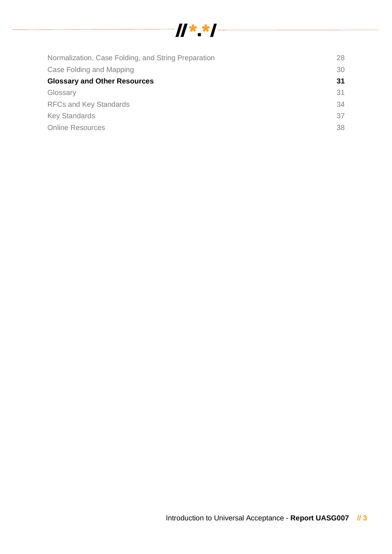

| Normalization, Case Folding, and String Preparation | 28 |
|-----------------------------------------------------|----|
| Case Folding and Mapping                            | 30 |
| <b>Glossary and Other Resources</b>                 | 31 |
| Glossary                                            | 31 |
| <b>RFCs and Key Standards</b>                       | 34 |
| <b>Key Standards</b>                                | 37 |
| <b>Online Resources</b>                             | 38 |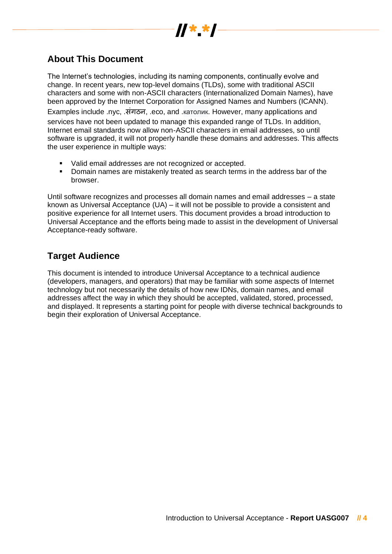

## **About This Document**

The Internet's technologies, including its naming components, continually evolve and change. In recent years, new top-level domains (TLDs), some with traditional ASCII characters and some with non-ASCII characters (Internationalized Domain Names), have been approved by the Internet Corporation for Assigned Names and Numbers (ICANN).

Examples include .nyc, .संगठन, .eco, and .католик. However, many applications and services have not been updated to manage this expanded range of TLDs. In addition, Internet email standards now allow non-ASCII characters in email addresses, so until software is upgraded, it will not properly handle these domains and addresses. This affects the user experience in multiple ways:

- Valid email addresses are not recognized or accepted.
- **•** Domain names are mistakenly treated as search terms in the address bar of the browser.

Until software recognizes and processes all domain names and email addresses – a state known as Universal Acceptance (UA) – it will not be possible to provide a consistent and positive experience for all Internet users. This document provides a broad introduction to Universal Acceptance and the efforts being made to assist in the development of Universal Acceptance-ready software.

## **Target Audience**

This document is intended to introduce Universal Acceptance to a technical audience (developers, managers, and operators) that may be familiar with some aspects of Internet technology but not necessarily the details of how new IDNs, domain names, and email addresses affect the way in which they should be accepted, validated, stored, processed, and displayed. It represents a starting point for people with diverse technical backgrounds to begin their exploration of Universal Acceptance.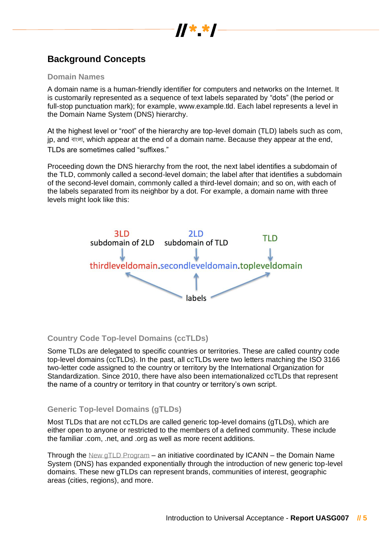

## **Background Concepts**

#### **Domain Names**

A domain name is a human-friendly identifier for computers and networks on the Internet. It is customarily represented as a sequence of text labels separated by "dots" (the period or full-stop punctuation mark); for example, www.example.tld. Each label represents a level in the Domain Name System (DNS) hierarchy.

At the highest level or "root" of the hierarchy are top-level domain (TLD) labels such as com, ip, and বাংলা, which appear at the end of a domain name. Because they appear at the end, TLDs are sometimes called "suffixes."

Proceeding down the DNS hierarchy from the root, the next label identifies a subdomain of the TLD, commonly called a second-level domain; the label after that identifies a subdomain of the second-level domain, commonly called a third-level domain; and so on, with each of the labels separated from its neighbor by a dot. For example, a domain name with three levels might look like this:



#### **Country Code Top-level Domains (ccTLDs)**

Some TLDs are delegated to specific countries or territories. These are called country code top-level domains (ccTLDs). In the past, all ccTLDs were two letters matching the ISO 3166 two-letter code assigned to the country or territory by the International Organization for Standardization. Since 2010, there have also been internationalized ccTLDs that represent the name of a country or territory in that country or territory's own script.

#### **Generic Top-level Domains (gTLDs)**

Most TLDs that are not ccTLDs are called generic top-level domains (gTLDs), which are either open to anyone or restricted to the members of a defined community. These include the familiar .com, .net, and .org as well as more recent additions.

Through the [New gTLD Program](https://newgtlds.icann.org/en/about/program) – an initiative coordinated by ICANN – the Domain Name System (DNS) has expanded exponentially through the introduction of new generic top-level domains. These new gTLDs can represent brands, communities of interest, geographic areas (cities, regions), and more.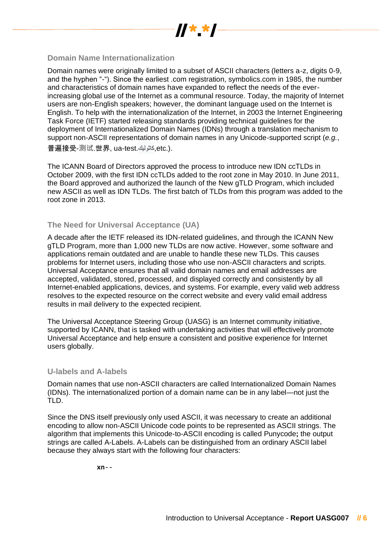

#### **Domain Name Internationalization**

Domain names were originally limited to a subset of ASCII characters (letters a-z, digits 0-9, and the hyphen "-"). Since the earliest .com registration, symbolics.com in 1985, the number and characteristics of domain names have expanded to reflect the needs of the everincreasing global use of the Internet as a communal resource. Today, the majority of Internet users are non-English speakers; however, the dominant language used on the Internet is English. To help with the internationalization of the Internet, in 2003 the Internet Engineering Task Force (IETF) started releasing standards providing technical guidelines for the deployment of Internationalized Domain Names (IDNs) through a translation mechanism to support non-ASCII representations of domain names in any Unicode-supported script (*e.g.*, 普遍接受-测试.世界, ua-test.كاثوليك,etc.).

The ICANN Board of Directors approved the process to introduce new IDN ccTLDs in October 2009, with the first IDN ccTLDs added to the root zone in May 2010. In June 2011, the Board approved and authorized the launch of the New gTLD Program, which included new ASCII as well as IDN TLDs. The first batch of TLDs from this program was added to the root zone in 2013.

#### **The Need for Universal Acceptance (UA)**

A decade after the IETF released its IDN-related guidelines, and through the ICANN New gTLD Program, more than 1,000 new TLDs are now active. However, some software and applications remain outdated and are unable to handle these new TLDs. This causes problems for Internet users, including those who use non-ASCII characters and scripts. Universal Acceptance ensures that all valid domain names and email addresses are accepted, validated, stored, processed, and displayed correctly and consistently by all Internet-enabled applications, devices, and systems. For example, every valid web address resolves to the expected resource on the correct website and every valid email address results in mail delivery to the expected recipient.

The Universal Acceptance Steering Group (UASG) is an Internet community initiative, supported by ICANN, that is tasked with undertaking activities that will effectively promote Universal Acceptance and help ensure a consistent and positive experience for Internet users globally.

#### **U-labels and A-labels**

Domain names that use non-ASCII characters are called Internationalized Domain Names (IDNs). The internationalized portion of a domain name can be in any label—not just the TLD.

Since the DNS itself previously only used ASCII, it was necessary to create an additional encoding to allow non-ASCII Unicode code points to be represented as ASCII strings. The algorithm that implements this Unicode-to-ASCII encoding is called Punycode**;** the output strings are called A-Labels. A-Labels can be distinguished from an ordinary ASCII label because they always start with the following four characters:

**xn**--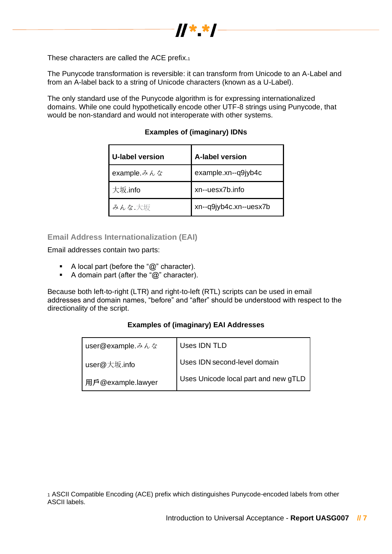

These characters are called the ACE prefix.<sup>1</sup>

The Punycode transformation is reversible: it can transform from Unicode to an A-Label and from an A-label back to a string of Unicode characters (known as a U-Label).

The only standard use of the Punycode algorithm is for expressing internationalized domains. While one could hypothetically encode other UTF-8 strings using Punycode, that would be non-standard and would not interoperate with other systems.

| <b>U-label version</b>           | <b>A-label version</b> |
|----------------------------------|------------------------|
| example. $\lambda \lambda \hbar$ | example.xn--q9jyb4c    |
| 大坂.info                          | xn--uesx7b.info        |
| みんな.大坂                           | xn--q9jyb4c.xn--uesx7b |

#### **Examples of (imaginary) IDNs**

#### **Email Address Internationalization (EAI)**

Email addresses contain two parts:

- A local part (before the "@" character).
- A domain part (after the "@" character).

Because both left-to-right (LTR) and right-to-left (RTL) scripts can be used in email addresses and domain names, "before" and "after" should be understood with respect to the directionality of the script.

#### **Examples of (imaginary) EAI Addresses**

| user@example.みんな  | Uses IDN TLD                         |
|-------------------|--------------------------------------|
| user@大坂.info      | Uses IDN second-level domain         |
| 用戶@example.lawyer | Uses Unicode local part and new gTLD |

<sup>1</sup> ASCII Compatible Encoding (ACE) prefix which distinguishes Punycode-encoded labels from other ASCII labels.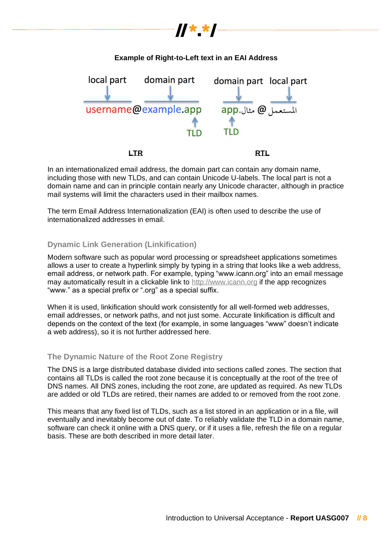# **Example of Right-to-Left text in an EAI Address** domain part local part domain part local part username@example.app app. مثال.app TLD

//\*\_\*/

 **LTR RTL**

In an internationalized email address, the domain part can contain any domain name, including those with new TLDs, and can contain Unicode U-labels. The local part is not a domain name and can in principle contain nearly any Unicode character, although in practice mail systems will limit the characters used in their mailbox names.

The term Email Address Internationalization (EAI) is often used to describe the use of internationalized addresses in email.

### **Dynamic Link Generation (Linkification)**

Modern software such as popular word processing or spreadsheet applications sometimes allows a user to create a hyperlink simply by typing in a string that looks like a web address, email address, or network path. For example, typing "www.icann.org" into an email message may automatically result in a clickable link to [http://www.icann.org](http://www.icann.org/) if the app recognizes "www." as a special prefix or ".org" as a special suffix.

When it is used, linkification should work consistently for all well-formed web addresses, email addresses, or network paths, and not just some. Accurate linkification is difficult and depends on the context of the text (for example, in some languages "www" doesn't indicate a web address), so it is not further addressed here.

### **The Dynamic Nature of the Root Zone Registry**

The DNS is a large distributed database divided into sections called zones. The section that contains all TLDs is called the root zone because it is conceptually at the root of the tree of DNS names. All DNS zones, including the root zone, are updated as required. As new TLDs are added or old TLDs are retired, their names are added to or removed from the root zone.

This means that any fixed list of TLDs, such as a list stored in an application or in a file, will eventually and inevitably become out of date. To reliably validate the TLD in a domain name, software can check it online with a DNS query, or if it uses a file, refresh the file on a regular basis. These are both described in more detail later.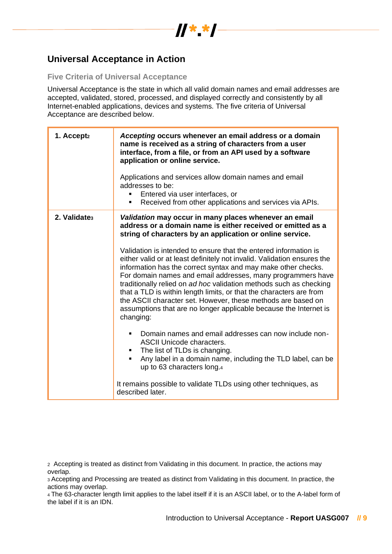

## **Universal Acceptance in Action**

#### **Five Criteria of Universal Acceptance**

Universal Acceptance is the state in which all valid domain names and email addresses are accepted, validated, stored, processed, and displayed correctly and consistently by all Internet-enabled applications, devices and systems*.* The five criteria of Universal Acceptance are described below.

| 1. Accept <sub>2</sub>   | Accepting occurs whenever an email address or a domain<br>name is received as a string of characters from a user<br>interface, from a file, or from an API used by a software<br>application or online service.<br>Applications and services allow domain names and email<br>addresses to be:<br>Entered via user interfaces, or<br>Received from other applications and services via APIs.<br>٠                                                                                                                                                                                                                                                                                                                                                                                                                                                                                                                                                                                           |
|--------------------------|--------------------------------------------------------------------------------------------------------------------------------------------------------------------------------------------------------------------------------------------------------------------------------------------------------------------------------------------------------------------------------------------------------------------------------------------------------------------------------------------------------------------------------------------------------------------------------------------------------------------------------------------------------------------------------------------------------------------------------------------------------------------------------------------------------------------------------------------------------------------------------------------------------------------------------------------------------------------------------------------|
| 2. Validate <sub>3</sub> | Validation may occur in many places whenever an email<br>address or a domain name is either received or emitted as a<br>string of characters by an application or online service.<br>Validation is intended to ensure that the entered information is<br>either valid or at least definitely not invalid. Validation ensures the<br>information has the correct syntax and may make other checks.<br>For domain names and email addresses, many programmers have<br>traditionally relied on ad hoc validation methods such as checking<br>that a TLD is within length limits, or that the characters are from<br>the ASCII character set. However, these methods are based on<br>assumptions that are no longer applicable because the Internet is<br>changing:<br>Domain names and email addresses can now include non-<br><b>ASCII Unicode characters.</b><br>The list of TLDs is changing.<br>Any label in a domain name, including the TLD label, can be<br>up to 63 characters long.4 |
|                          | It remains possible to validate TLDs using other techniques, as<br>described later.                                                                                                                                                                                                                                                                                                                                                                                                                                                                                                                                                                                                                                                                                                                                                                                                                                                                                                        |

<sup>2</sup> Accepting is treated as distinct from Validating in this document. In practice, the actions may overlap.

<sup>3</sup> Accepting and Processing are treated as distinct from Validating in this document. In practice, the actions may overlap.

<sup>4</sup> The 63-character length limit applies to the label itself if it is an ASCII label, or to the A-label form of the label if it is an IDN.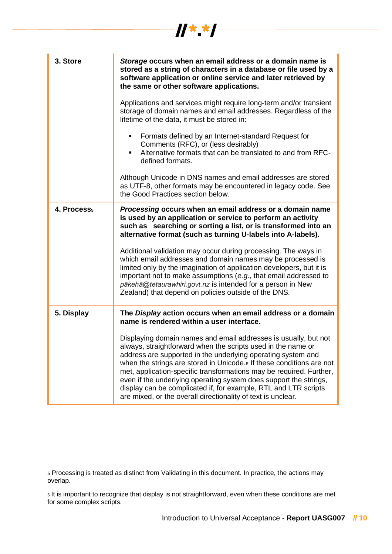| 3. Store                | Storage occurs when an email address or a domain name is<br>stored as a string of characters in a database or file used by a<br>software application or online service and later retrieved by<br>the same or other software applications.                                                                                                                                                                                                                                                                                                                          |
|-------------------------|--------------------------------------------------------------------------------------------------------------------------------------------------------------------------------------------------------------------------------------------------------------------------------------------------------------------------------------------------------------------------------------------------------------------------------------------------------------------------------------------------------------------------------------------------------------------|
|                         | Applications and services might require long-term and/or transient<br>storage of domain names and email addresses. Regardless of the<br>lifetime of the data, it must be stored in:                                                                                                                                                                                                                                                                                                                                                                                |
|                         | Formats defined by an Internet-standard Request for<br>$\blacksquare$<br>Comments (RFC), or (less desirably)<br>Alternative formats that can be translated to and from RFC-<br>defined formats.                                                                                                                                                                                                                                                                                                                                                                    |
|                         | Although Unicode in DNS names and email addresses are stored<br>as UTF-8, other formats may be encountered in legacy code. See<br>the Good Practices section below.                                                                                                                                                                                                                                                                                                                                                                                                |
| 4. Process <sub>5</sub> | Processing occurs when an email address or a domain name<br>is used by an application or service to perform an activity<br>such as searching or sorting a list, or is transformed into an<br>alternative format (such as turning U-labels into A-labels).                                                                                                                                                                                                                                                                                                          |
|                         | Additional validation may occur during processing. The ways in<br>which email addresses and domain names may be processed is<br>limited only by the imagination of application developers, but it is<br>important not to make assumptions (e.g., that email addressed to<br>pākehā@tetaurawhiri.govt.nz is intended for a person in New<br>Zealand) that depend on policies outside of the DNS.                                                                                                                                                                    |
| 5. Display              | The Display action occurs when an email address or a domain<br>name is rendered within a user interface.                                                                                                                                                                                                                                                                                                                                                                                                                                                           |
|                         | Displaying domain names and email addresses is usually, but not<br>always, straightforward when the scripts used in the name or<br>address are supported in the underlying operating system and<br>when the strings are stored in Unicode. <sup>6</sup> If these conditions are not<br>met, application-specific transformations may be required. Further,<br>even if the underlying operating system does support the strings,<br>display can be complicated if, for example, RTL and LTR scripts<br>are mixed, or the overall directionality of text is unclear. |

 $\frac{1}{2}$   $\frac{1}{2}$   $\frac{1}{2}$   $\frac{1}{2}$   $\frac{1}{2}$   $\frac{1}{2}$   $\frac{1}{2}$   $\frac{1}{2}$   $\frac{1}{2}$   $\frac{1}{2}$ 

<sup>5</sup> Processing is treated as distinct from Validating in this document. In practice, the actions may overlap.

<sup>6</sup> It is important to recognize that display is not straightforward, even when these conditions are met for some complex scripts.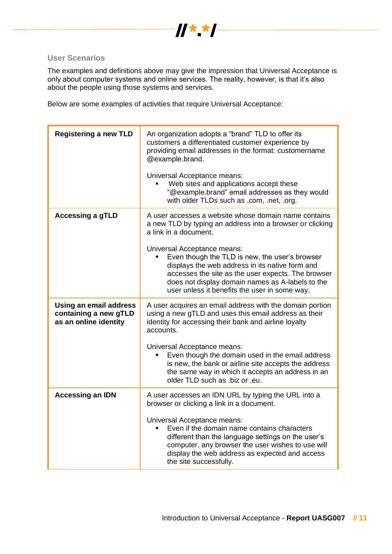

#### **User Scenarios**

The examples and definitions above may give the impression that Universal Acceptance is only about computer systems and online services. The reality, however, is that it's also about the people using those systems and services.

Below are some examples of activities that require Universal Acceptance:

| <b>Registering a new TLD</b>                                             | An organization adopts a "brand" TLD to offer its<br>customers a differentiated customer experience by<br>providing email addresses in the format: customername<br>@example.brand.                                                                                                          |
|--------------------------------------------------------------------------|---------------------------------------------------------------------------------------------------------------------------------------------------------------------------------------------------------------------------------------------------------------------------------------------|
|                                                                          | Universal Acceptance means:<br>Web sites and applications accept these<br>"@example.brand" email addresses as they would<br>with older TLDs such as .com, .net, .org.                                                                                                                       |
| <b>Accessing a gTLD</b>                                                  | A user accesses a website whose domain name contains<br>a new TLD by typing an address into a browser or clicking<br>a link in a document.                                                                                                                                                  |
|                                                                          | Universal Acceptance means:<br>Even though the TLD is new, the user's browser<br>displays the web address in its native form and<br>accesses the site as the user expects. The browser<br>does not display domain names as A-labels to the<br>user unless it benefits the user in some way. |
| Using an email address<br>containing a new gTLD<br>as an online identity | A user acquires an email address with the domain portion<br>using a new gTLD and uses this email address as their<br>identity for accessing their bank and airline loyalty<br>accounts.                                                                                                     |
|                                                                          | Universal Acceptance means:<br>Even though the domain used in the email address<br>is new, the bank or airline site accepts the address<br>the same way in which it accepts an address in an<br>older TLD such as .biz or .eu.                                                              |
| <b>Accessing an IDN</b>                                                  | A user accesses an IDN URL by typing the URL into a<br>browser or clicking a link in a document.                                                                                                                                                                                            |
|                                                                          | Universal Acceptance means:<br>Even if the domain name contains characters<br>different than the language settings on the user's<br>computer, any browser the user wishes to use will<br>display the web address as expected and access<br>the site successfully.                           |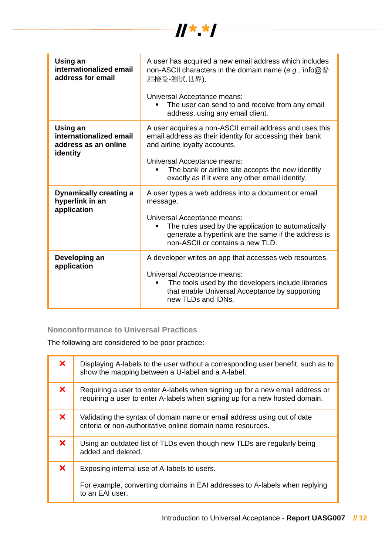

| Using an<br>internationalized email<br>address for email                | A user has acquired a new email address which includes<br>non-ASCII characters in the domain name (e.g., $\text{Info@}$ #<br>遍接受-测试.世界).<br>Universal Acceptance means:<br>The user can send to and receive from any email<br>address, using any email client.                              |
|-------------------------------------------------------------------------|---------------------------------------------------------------------------------------------------------------------------------------------------------------------------------------------------------------------------------------------------------------------------------------------|
| Using an<br>internationalized email<br>address as an online<br>identity | A user acquires a non-ASCII email address and uses this<br>email address as their identity for accessing their bank<br>and airline loyalty accounts.<br>Universal Acceptance means:<br>The bank or airline site accepts the new identity<br>exactly as if it were any other email identity. |
| <b>Dynamically creating a</b><br>hyperlink in an<br>application         | A user types a web address into a document or email<br>message.<br>Universal Acceptance means:<br>The rules used by the application to automatically<br>generate a hyperlink are the same if the address is<br>non-ASCII or contains a new TLD.                                             |
| Developing an<br>application                                            | A developer writes an app that accesses web resources.<br>Universal Acceptance means:<br>The tools used by the developers include libraries<br>п<br>that enable Universal Acceptance by supporting<br>new TLDs and IDNs.                                                                    |

## **Nonconformance to Universal Practices**

The following are considered to be poor practice:

| $\boldsymbol{\times}$     | Displaying A-labels to the user without a corresponding user benefit, such as to<br>show the mapping between a U-label and a A-label.                        |
|---------------------------|--------------------------------------------------------------------------------------------------------------------------------------------------------------|
| $\boldsymbol{\mathsf{x}}$ | Requiring a user to enter A-labels when signing up for a new email address or<br>requiring a user to enter A-labels when signing up for a new hosted domain. |
| $\boldsymbol{\mathsf{x}}$ | Validating the syntax of domain name or email address using out of date<br>criteria or non-authoritative online domain name resources.                       |
| $\boldsymbol{\mathsf{x}}$ | Using an outdated list of TLDs even though new TLDs are regularly being<br>added and deleted.                                                                |
| $\boldsymbol{\mathsf{x}}$ | Exposing internal use of A-labels to users.                                                                                                                  |
|                           | For example, converting domains in EAI addresses to A-labels when replying<br>to an EAI user.                                                                |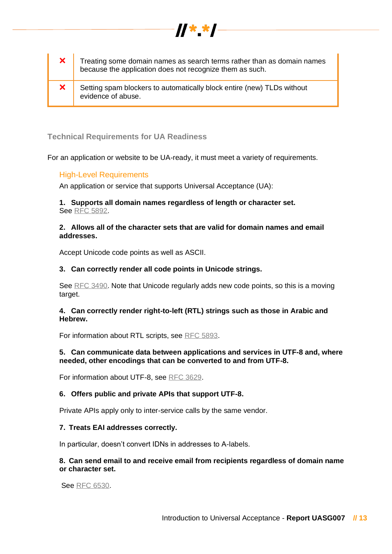| $\mathbf{x}$ | Treating some domain names as search terms rather than as domain names<br>because the application does not recognize them as such. |
|--------------|------------------------------------------------------------------------------------------------------------------------------------|
| $\bm{x}$     | Setting spam blockers to automatically block entire (new) TLDs without<br>evidence of abuse.                                       |

//\* \*/

#### **Technical Requirements for UA Readiness**

For an application or website to be UA-ready, it must meet a variety of requirements.

#### High-Level Requirements

An application or service that supports Universal Acceptance (UA):

#### **1. Supports all domain names regardless of length or character set.** Se[e](https://tools.ietf.org/html/rfc5892) [RFC 5892.](https://tools.ietf.org/html/rfc5892)

#### **2. Allows all of the character sets that are valid for domain names and email addresses.**

Accept Unicode code points as well as ASCII.

#### **3. Can correctly render all code points in Unicode strings.**

Se[e](https://www.ietf.org/rfc/rfc3490.txt) [RFC 3490.](https://www.ietf.org/rfc/rfc3490.txt) Note that Unicode regularly adds new code points, so this is a moving target.

#### **4. Can correctly render right-to-left (RTL) strings such as those in Arabic and Hebrew.**

For information about RTL scripts, se[e](https://tools.ietf.org/html/rfc5893) [RFC 5893.](https://tools.ietf.org/html/rfc5893)

#### **5. Can communicate data between applications and services in UTF-8 and, where needed, other encodings that can be converted to and from UTF-8.**

For information about UTF-8, se[e](https://tools.ietf.org/html/rfc3629) [RFC 3629.](https://tools.ietf.org/html/rfc3629)

#### **6. Offers public and private APIs that support UTF-8.**

Private APIs apply only to inter-service calls by the same vendor.

#### **7. Treats EAI addresses correctly.**

In particular, doesn't convert IDNs in addresses to A-labels.

#### **8. Can send email to and receive email from recipients regardless of domain name or character set.**

Se[e](https://tools.ietf.org/html/rfc6530) [RFC 6530.](https://tools.ietf.org/html/rfc6530)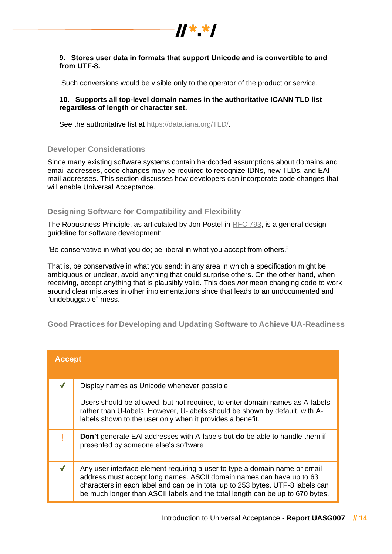

#### **9. Stores user data in formats that support Unicode and is convertible to and from UTF-8.**

Such conversions would be visible only to the operator of the product or service.

#### **10. Supports all top-level domain names in the authoritative ICANN TLD list regardless of length or character set.**

See the authoritative list at https://data.jana.org/TLD/.

#### **Developer Considerations**

Since many existing software systems contain hardcoded assumptions about domains and email addresses, code changes may be required to recognize IDNs, new TLDs, and EAI mail addresses. This section discusses how developers can incorporate code changes that will enable Universal Acceptance.

#### **Designing Software for Compatibility and Flexibility**

The Robustness Principle, as articulated by Jon Postel in [RFC 793,](https://tools.ietf.org/html/rfc793) is a general design guideline for software development:

"Be conservative in what you do; be liberal in what you accept from others."

That is, be conservative in what you send: in any area in which a specification might be ambiguous or unclear, avoid anything that could surprise others. On the other hand, when receiving, accept anything that is plausibly valid. This does *not* mean changing code to work around clear mistakes in other implementations since that leads to an undocumented and "undebuggable" mess.

**Good Practices for Developing and Updating Software to Achieve UA-Readiness**

| <b>Accept</b> |                                                                                                                                                                                                                                                                                                                       |
|---------------|-----------------------------------------------------------------------------------------------------------------------------------------------------------------------------------------------------------------------------------------------------------------------------------------------------------------------|
|               | Display names as Unicode whenever possible.                                                                                                                                                                                                                                                                           |
|               | Users should be allowed, but not required, to enter domain names as A-labels<br>rather than U-labels. However, U-labels should be shown by default, with A-<br>labels shown to the user only when it provides a benefit.                                                                                              |
|               | <b>Don't</b> generate EAI addresses with A-labels but <b>do</b> be able to handle them if<br>presented by someone else's software.                                                                                                                                                                                    |
|               | Any user interface element requiring a user to type a domain name or email<br>address must accept long names. ASCII domain names can have up to 63<br>characters in each label and can be in total up to 253 bytes. UTF-8 labels can<br>be much longer than ASCII labels and the total length can be up to 670 bytes. |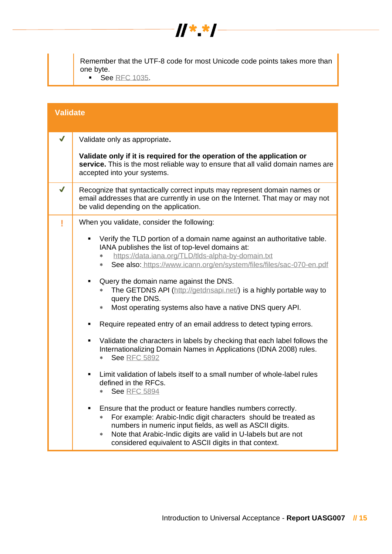

Remember that the UTF-8 code for most Unicode code points takes more than one byte.

■ S[e](https://tools.ietf.org/html/rfc1035)e [RFC 1035.](https://tools.ietf.org/html/rfc1035)

| <b>Validate</b> |                                                                                                                                                                                                                                                                                                                                      |  |
|-----------------|--------------------------------------------------------------------------------------------------------------------------------------------------------------------------------------------------------------------------------------------------------------------------------------------------------------------------------------|--|
| $\checkmark$    | Validate only as appropriate.                                                                                                                                                                                                                                                                                                        |  |
|                 | Validate only if it is required for the operation of the application or<br>service. This is the most reliable way to ensure that all valid domain names are<br>accepted into your systems.                                                                                                                                           |  |
| J               | Recognize that syntactically correct inputs may represent domain names or<br>email addresses that are currently in use on the Internet. That may or may not<br>be valid depending on the application.                                                                                                                                |  |
| ı               | When you validate, consider the following:                                                                                                                                                                                                                                                                                           |  |
|                 | Verify the TLD portion of a domain name against an authoritative table.<br>٠<br>IANA publishes the list of top-level domains at:<br>https://data.iana.org/TLD/tlds-alpha-by-domain.txt<br>*<br>See also: https://www.icann.org/en/system/files/files/sac-070-en.pdf<br>*<br>Query the domain name against the DNS.<br>٠              |  |
|                 | The GETDNS API (http://getdnsapi.net/) is a highly portable way to<br>$\ast$<br>query the DNS.<br>Most operating systems also have a native DNS query API.<br>$\ast$                                                                                                                                                                 |  |
|                 | Require repeated entry of an email address to detect typing errors.<br>٠                                                                                                                                                                                                                                                             |  |
|                 | Validate the characters in labels by checking that each label follows the<br>٠<br>Internationalizing Domain Names in Applications (IDNA 2008) rules.<br><b>See RFC 5892</b><br>$*$                                                                                                                                                   |  |
|                 | Limit validation of labels itself to a small number of whole-label rules<br>٠<br>defined in the RFCs.<br><b>See RFC 5894</b><br>*                                                                                                                                                                                                    |  |
|                 | Ensure that the product or feature handles numbers correctly.<br>For example: Arabic-Indic digit characters should be treated as<br>*<br>numbers in numeric input fields, as well as ASCII digits.<br>Note that Arabic-Indic digits are valid in U-labels but are not<br>∗<br>considered equivalent to ASCII digits in that context. |  |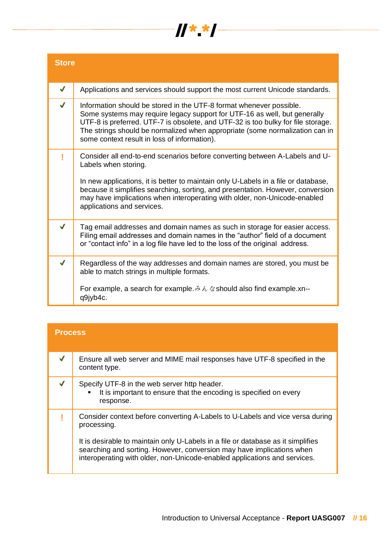

| <b>Store</b>     |                                                                                                                                                                                                                                                                                                                                                                                         |  |
|------------------|-----------------------------------------------------------------------------------------------------------------------------------------------------------------------------------------------------------------------------------------------------------------------------------------------------------------------------------------------------------------------------------------|--|
| $\checkmark$     | Applications and services should support the most current Unicode standards.                                                                                                                                                                                                                                                                                                            |  |
|                  | Information should be stored in the UTF-8 format whenever possible.<br>Some systems may require legacy support for UTF-16 as well, but generally<br>UTF-8 is preferred. UTF-7 is obsolete, and UTF-32 is too bulky for file storage.<br>The strings should be normalized when appropriate (some normalization can in<br>some context result in loss of information).                    |  |
|                  | Consider all end-to-end scenarios before converting between A-Labels and U-<br>Labels when storing.<br>In new applications, it is better to maintain only U-Labels in a file or database,<br>because it simplifies searching, sorting, and presentation. However, conversion<br>may have implications when interoperating with older, non-Unicode-enabled<br>applications and services. |  |
| J                | Tag email addresses and domain names as such in storage for easier access.<br>Filing email addresses and domain names in the "author" field of a document<br>or "contact info" in a log file have led to the loss of the original address.                                                                                                                                              |  |
| $\boldsymbol{J}$ | Regardless of the way addresses and domain names are stored, you must be<br>able to match strings in multiple formats.<br>q9jyb4c.                                                                                                                                                                                                                                                      |  |

| <b>Process</b> |                                                                                                                                                                                                                                                                                                                                        |  |
|----------------|----------------------------------------------------------------------------------------------------------------------------------------------------------------------------------------------------------------------------------------------------------------------------------------------------------------------------------------|--|
|                | Ensure all web server and MIME mail responses have UTF-8 specified in the<br>content type.                                                                                                                                                                                                                                             |  |
|                | Specify UTF-8 in the web server http header.<br>It is important to ensure that the encoding is specified on every<br>$\blacksquare$<br>response.                                                                                                                                                                                       |  |
|                | Consider context before converting A-Labels to U-Labels and vice versa during<br>processing.<br>It is desirable to maintain only U-Labels in a file or database as it simplifies<br>searching and sorting. However, conversion may have implications when<br>interoperating with older, non-Unicode-enabled applications and services. |  |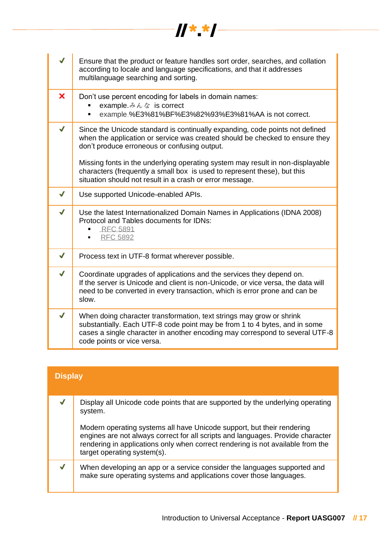| J            | Ensure that the product or feature handles sort order, searches, and collation<br>according to locale and language specifications, and that it addresses<br>multilanguage searching and sorting.                                                                 |  |  |
|--------------|------------------------------------------------------------------------------------------------------------------------------------------------------------------------------------------------------------------------------------------------------------------|--|--|
| ×            | Don't use percent encoding for labels in domain names:<br>example. $\not\rightsquigarrow \wedge \wedge \wedge$ is correct<br>example.%E3%81%BF%E3%82%93%E3%81%AA is not correct.<br>٠                                                                            |  |  |
| $\checkmark$ | Since the Unicode standard is continually expanding, code points not defined<br>when the application or service was created should be checked to ensure they<br>don't produce erroneous or confusing output.                                                     |  |  |
|              | Missing fonts in the underlying operating system may result in non-displayable<br>characters (frequently a small box is used to represent these), but this<br>situation should not result in a crash or error message.                                           |  |  |
| $\checkmark$ | Use supported Unicode-enabled APIs.                                                                                                                                                                                                                              |  |  |
| $\checkmark$ | Use the latest Internationalized Domain Names in Applications (IDNA 2008)<br>Protocol and Tables documents for IDNs:<br><b>RFC 5891</b><br>٠<br><b>RFC 5892</b>                                                                                                  |  |  |
| $\checkmark$ | Process text in UTF-8 format wherever possible.                                                                                                                                                                                                                  |  |  |
| $\checkmark$ | Coordinate upgrades of applications and the services they depend on.<br>If the server is Unicode and client is non-Unicode, or vice versa, the data will<br>need to be converted in every transaction, which is error prone and can be<br>slow.                  |  |  |
| $\checkmark$ | When doing character transformation, text strings may grow or shrink<br>substantially. Each UTF-8 code point may be from 1 to 4 bytes, and in some<br>cases a single character in another encoding may correspond to several UTF-8<br>code points or vice versa. |  |  |

| <b>Display</b> |                                                                                                                                                                                                                                                                             |
|----------------|-----------------------------------------------------------------------------------------------------------------------------------------------------------------------------------------------------------------------------------------------------------------------------|
|                | Display all Unicode code points that are supported by the underlying operating<br>system.                                                                                                                                                                                   |
|                | Modern operating systems all have Unicode support, but their rendering<br>engines are not always correct for all scripts and languages. Provide character<br>rendering in applications only when correct rendering is not available from the<br>target operating system(s). |
|                | When developing an app or a service consider the languages supported and<br>make sure operating systems and applications cover those languages.                                                                                                                             |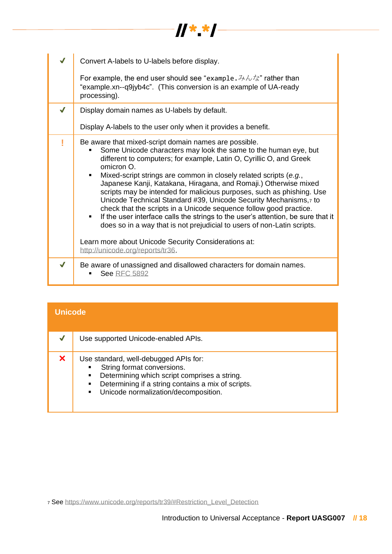|   | Convert A-labels to U-labels before display.                                                                                                                                                                                                                                                                                                                                                                                                                                                                                                                                                                                                                                                                                                                                                     |  |  |
|---|--------------------------------------------------------------------------------------------------------------------------------------------------------------------------------------------------------------------------------------------------------------------------------------------------------------------------------------------------------------------------------------------------------------------------------------------------------------------------------------------------------------------------------------------------------------------------------------------------------------------------------------------------------------------------------------------------------------------------------------------------------------------------------------------------|--|--|
|   | For example, the end user should see "example. $\partial \phi/\partial x$ " rather than<br>"example.xn--q9jyb4c". (This conversion is an example of UA-ready<br>processing).                                                                                                                                                                                                                                                                                                                                                                                                                                                                                                                                                                                                                     |  |  |
|   | Display domain names as U-labels by default.                                                                                                                                                                                                                                                                                                                                                                                                                                                                                                                                                                                                                                                                                                                                                     |  |  |
|   | Display A-labels to the user only when it provides a benefit.                                                                                                                                                                                                                                                                                                                                                                                                                                                                                                                                                                                                                                                                                                                                    |  |  |
|   | Be aware that mixed-script domain names are possible.<br>Some Unicode characters may look the same to the human eye, but<br>different to computers; for example, Latin O, Cyrillic O, and Greek<br>omicron O.<br>Mixed-script strings are common in closely related scripts (e.g.,<br>Japanese Kanji, Katakana, Hiragana, and Romaji.) Otherwise mixed<br>scripts may be intended for malicious purposes, such as phishing. Use<br>Unicode Technical Standard #39, Unicode Security Mechanisms,7 to<br>check that the scripts in a Unicode sequence follow good practice.<br>If the user interface calls the strings to the user's attention, be sure that it<br>does so in a way that is not prejudicial to users of non-Latin scripts.<br>Learn more about Unicode Security Considerations at: |  |  |
|   | http://unicode.org/reports/tr36.                                                                                                                                                                                                                                                                                                                                                                                                                                                                                                                                                                                                                                                                                                                                                                 |  |  |
| J | Be aware of unassigned and disallowed characters for domain names.<br><b>See RFC 5892</b>                                                                                                                                                                                                                                                                                                                                                                                                                                                                                                                                                                                                                                                                                                        |  |  |

| <b>Unicode</b> |                                                                                                                                                                                                                                                            |
|----------------|------------------------------------------------------------------------------------------------------------------------------------------------------------------------------------------------------------------------------------------------------------|
|                | Use supported Unicode-enabled APIs.                                                                                                                                                                                                                        |
| X              | Use standard, well-debugged APIs for:<br>String format conversions.<br>Determining which script comprises a string.<br>$\blacksquare$<br>Determining if a string contains a mix of scripts.<br>٠<br>Unicode normalization/decomposition.<br>$\blacksquare$ |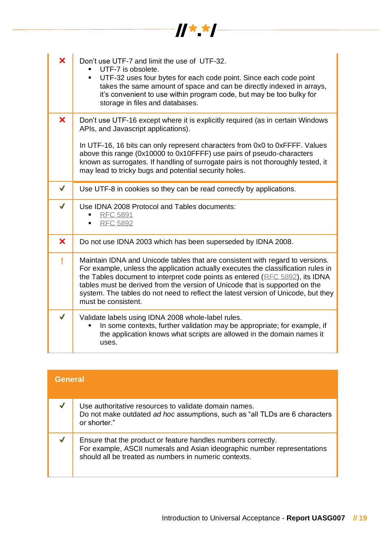| $\overline{\mathbf{x}}$   | Don't use UTF-7 and limit the use of UTF-32.<br>UTF-7 is obsolete.<br>UTF-32 uses four bytes for each code point. Since each code point<br>٠<br>takes the same amount of space and can be directly indexed in arrays,<br>it's convenient to use within program code, but may be too bulky for<br>storage in files and databases.                                                                                                              |
|---------------------------|-----------------------------------------------------------------------------------------------------------------------------------------------------------------------------------------------------------------------------------------------------------------------------------------------------------------------------------------------------------------------------------------------------------------------------------------------|
| ×                         | Don't use UTF-16 except where it is explicitly required (as in certain Windows<br>APIs, and Javascript applications).<br>In UTF-16, 16 bits can only represent characters from 0x0 to 0xFFFF. Values<br>above this range (0x10000 to 0x10FFFF) use pairs of pseudo-characters<br>known as surrogates. If handling of surrogate pairs is not thoroughly tested, it<br>may lead to tricky bugs and potential security holes.                    |
| $\checkmark$              | Use UTF-8 in cookies so they can be read correctly by applications.                                                                                                                                                                                                                                                                                                                                                                           |
| $\checkmark$              | Use IDNA 2008 Protocol and Tables documents:<br><b>RFC 5891</b><br>٠<br><b>RFC 5892</b><br>$\blacksquare$                                                                                                                                                                                                                                                                                                                                     |
| $\boldsymbol{\mathsf{x}}$ | Do not use IDNA 2003 which has been superseded by IDNA 2008.                                                                                                                                                                                                                                                                                                                                                                                  |
| Į                         | Maintain IDNA and Unicode tables that are consistent with regard to versions.<br>For example, unless the application actually executes the classification rules in<br>the Tables document to interpret code points as entered (RFC 5892), its IDNA<br>tables must be derived from the version of Unicode that is supported on the<br>system. The tables do not need to reflect the latest version of Unicode, but they<br>must be consistent. |
| J                         | Validate labels using IDNA 2008 whole-label rules.<br>In some contexts, further validation may be appropriate; for example, if<br>the application knows what scripts are allowed in the domain names it<br>uses.                                                                                                                                                                                                                              |

| <b>General</b> |                                                                                                                                                                                                    |
|----------------|----------------------------------------------------------------------------------------------------------------------------------------------------------------------------------------------------|
|                | Use authoritative resources to validate domain names.<br>Do not make outdated ad hoc assumptions, such as "all TLDs are 6 characters"<br>or shorter."                                              |
|                | Ensure that the product or feature handles numbers correctly.<br>For example, ASCII numerals and Asian ideographic number representations<br>should all be treated as numbers in numeric contexts. |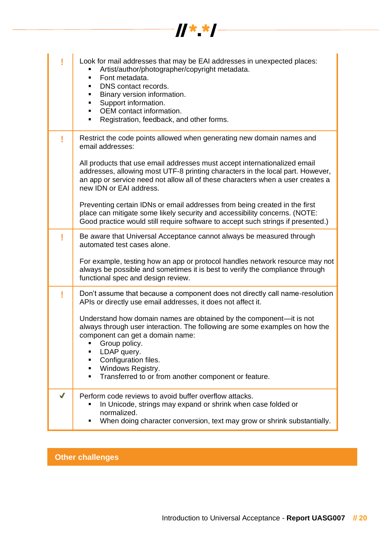|              | $\boldsymbol{y}$ $\boldsymbol{x}$                                                                                                                                                                                                                                                                                                          |
|--------------|--------------------------------------------------------------------------------------------------------------------------------------------------------------------------------------------------------------------------------------------------------------------------------------------------------------------------------------------|
|              |                                                                                                                                                                                                                                                                                                                                            |
|              | Look for mail addresses that may be EAI addresses in unexpected places:<br>Artist/author/photographer/copyright metadata.<br>Font metadata.<br>DNS contact records.<br>Binary version information.<br>Support information.<br>OEM contact information.<br>Registration, feedback, and other forms.<br>٠                                    |
|              | Restrict the code points allowed when generating new domain names and<br>email addresses:                                                                                                                                                                                                                                                  |
|              | All products that use email addresses must accept internationalized email<br>addresses, allowing most UTF-8 printing characters in the local part. However,<br>an app or service need not allow all of these characters when a user creates a<br>new IDN or EAI address.                                                                   |
|              | Preventing certain IDNs or email addresses from being created in the first<br>place can mitigate some likely security and accessibility concerns. (NOTE:<br>Good practice would still require software to accept such strings if presented.)                                                                                               |
|              | Be aware that Universal Acceptance cannot always be measured through<br>automated test cases alone.                                                                                                                                                                                                                                        |
|              | For example, testing how an app or protocol handles network resource may not<br>always be possible and sometimes it is best to verify the compliance through<br>functional spec and design review.                                                                                                                                         |
| Į            | Don't assume that because a component does not directly call name-resolution<br>APIs or directly use email addresses, it does not affect it.                                                                                                                                                                                               |
|              | Understand how domain names are obtained by the component—it is not<br>always through user interaction. The following are some examples on how the<br>component can get a domain name:<br>Group policy.<br>٠<br>LDAP query.<br>٠<br>Configuration files.<br>Windows Registry.<br>٠<br>Transferred to or from another component or feature. |
|              |                                                                                                                                                                                                                                                                                                                                            |
| $\checkmark$ | Perform code reviews to avoid buffer overflow attacks.<br>In Unicode, strings may expand or shrink when case folded or<br>normalized.<br>When doing character conversion, text may grow or shrink substantially.                                                                                                                           |

## **Other challenges**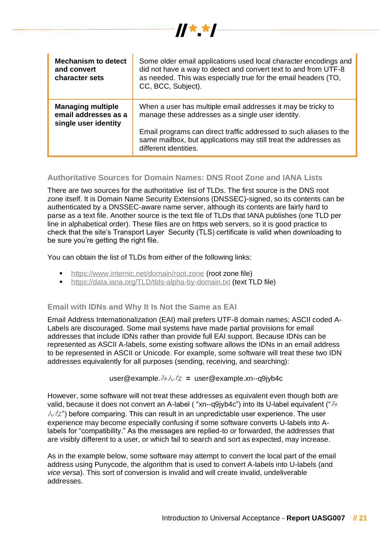

 $\frac{1}{2}$   $\frac{1}{2}$   $\frac{1}{2}$   $\frac{1}{2}$   $\frac{1}{2}$   $\frac{1}{2}$   $\frac{1}{2}$   $\frac{1}{2}$   $\frac{1}{2}$   $\frac{1}{2}$ 

#### **Authoritative Sources for Domain Names: DNS Root Zone and IANA Lists**

There are two sources for the authoritative list of TLDs. The first source is the DNS root zone itself. It is Domain Name Security Extensions (DNSSEC)-signed, so its contents can be authenticated by a DNSSEC-aware name server, although its contents are fairly hard to parse as a text file. Another source is the text file of TLDs that IANA publishes (one TLD per line in alphabetical order). These files are on https web servers, so it is good practice to check that the site's Transport Layer Security (TLS) certificate is valid when downloading to be sure you're getting the right file.

You can obtain the list of TLDs from either of the following links:

- **·** <https://www.internic.net/domain/root.zone> (root zone file)
- **•** <https://data.iana.org/TLD/tlds-alpha-by-domain.txt> (text TLD file)

#### **Email with IDNs and Why It Is Not the Same as EAI**

Email Address Internationalization (EAI) mail prefers UTF-8 domain names; ASCII coded A-Labels are discouraged. Some mail systems have made partial provisions for email addresses that include IDNs rather than provide full EAI support. Because IDNs can be represented as ASCII A-labels, some existing software allows the IDNs in an email address to be represented in ASCII or Unicode. For example, some software will treat these two IDN addresses equivalently for all purposes (sending, receiving, and searching):

user@example.みんな **=** user@example.xn--q9jyb4c

However, some software will not treat these addresses as equivalent even though both are valid, because it does not convert an A-label ( "xn--q9jyb4c") into its U-label equivalent (" $\lambda$  $\lambda$ な") before comparing. This can result in an unpredictable user experience. The user experience may become especially confusing if some software converts U-labels into Alabels for "compatibility." As the messages are replied-to or forwarded, the addresses that are visibly different to a user, or which fail to search and sort as expected, may increase.

As in the example below, some software may attempt to convert the local part of the email address using Punycode, the algorithm that is used to convert A-labels into U-labels (and *vice versa*). This sort of conversion is invalid and will create invalid, undeliverable addresses.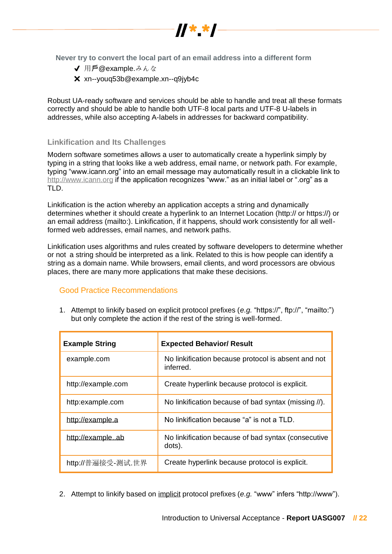

- **√** 用戶@example.みんな
- ✖xn--youq53b@example.xn--q9jyb4c

Robust UA-ready software and services should be able to handle and treat all these formats correctly and should be able to handle both UTF-8 local parts and UTF-8 U-labels in addresses, while also accepting A-labels in addresses for backward compatibility.

 $\boldsymbol{y}$ 

#### **Linkification and Its Challenges**

Modern software sometimes allows a user to automatically create a hyperlink simply by typing in a string that looks like a web address, email name, or network path. For example, typing "www.icann.org" into an email message may automatically result in a clickable link t[o](http://www.icann.org/) [http://www.icann.org](http://www.icann.org/) if the application recognizes "www." as an initial label or ".org" as a TLD.

Linkification is the action whereby an application accepts a string and dynamically determines whether it should create a hyperlink to an Internet Location (http:// or https://) or an email address (mailto:). Linkification, if it happens, should work consistently for all wellformed web addresses, email names, and network paths.

Linkification uses algorithms and rules created by software developers to determine whether or not a string should be interpreted as a link. Related to this is how people can identify a string as a domain name. While browsers, email clients, and word processors are obvious places, there are many more applications that make these decisions.

#### Good Practice Recommendations

1. Attempt to linkify based on explicit protocol prefixes (*e.g.* "https://", ftp://", "mailto:") but only complete the action if the rest of the string is well-formed.

| <b>Example String</b> | <b>Expected Behavior/ Result</b>                                 |  |
|-----------------------|------------------------------------------------------------------|--|
| example.com           | No linkification because protocol is absent and not<br>inferred. |  |
| http://example.com    | Create hyperlink because protocol is explicit.                   |  |
| http:example.com      | No linkification because of bad syntax (missing //).             |  |
| http://example.a      | No linkification because "a" is not a TLD.                       |  |
| http://exampleab      | No linkification because of bad syntax (consecutive<br>dots).    |  |
| http://普遍接受-测试.世界     | Create hyperlink because protocol is explicit.                   |  |

2. Attempt to linkify based on implicit protocol prefixes (*e.g.* "www" infers "http://www").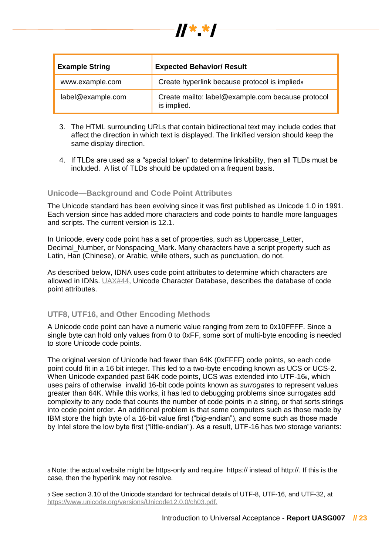

| <b>Example String</b> | <b>Expected Behavior/ Result</b>                                 |
|-----------------------|------------------------------------------------------------------|
| www.example.com       | Create hyperlink because protocol is implieds                    |
| label@example.com     | Create mailto: label@example.com because protocol<br>is implied. |

- 3. The HTML surrounding URLs that contain bidirectional text may include codes that affect the direction in which text is displayed. The linkified version should keep the same display direction.
- 4. If TLDs are used as a "special token" to determine linkability, then all TLDs must be included. A list of TLDs should be updated on a frequent basis.

#### **Unicode—Background and Code Point Attributes**

The Unicode standard has been evolving since it was first published as Unicode 1.0 in 1991. Each version since has added more characters and code points to handle more languages and scripts. The current version is 12.1.

In Unicode, every code point has a set of properties, such as Uppercase\_Letter, Decimal Number, or Nonspacing Mark. Many characters have a script property such as Latin, Han (Chinese), or Arabic, while others, such as punctuation, do not.

As described below, IDNA uses code point attributes to determine which characters are allowed in IDNs. [UAX#44,](https://www.unicode.org/reports/tr44) Unicode Character Database, describes the database of code point attributes.

#### **UTF8, UTF16, and Other Encoding Methods**

A Unicode code point can have a numeric value ranging from zero to 0x10FFFF. Since a single byte can hold only values from 0 to 0xFF, some sort of multi-byte encoding is needed to store Unicode code points.

The original version of Unicode had fewer than 64K (0xFFFF) code points, so each code point could fit in a 16 bit integer. This led to a two-byte encoding known as UCS or UCS-2. When Unicode expanded past 64K code points, UCS was extended into UTF-169, which uses pairs of otherwise invalid 16-bit code points known as *surrogates* to represent values greater than 64K. While this works, it has led to debugging problems since surrogates add complexity to any code that counts the number of code points in a string, or that sorts strings into code point order. An additional problem is that some computers such as those made by IBM store the high byte of a 16-bit value first ("big-endian"), and some such as those made by Intel store the low byte first ("little-endian"). As a result, UTF-16 has two storage variants:

<sup>8</sup> Note: the actual website might be https-only and require https:// instead of http://. If this is the case, then the hyperlink may not resolve.

<sup>9</sup> See section 3.10 of the Unicode standard for technical details of UTF-8, UTF-16, and UTF-32, at [https://www.unicode.org/versions/Unicode12.0.0/ch03.pdf.](https://www.unicode.org/versions/Unicode12.0.0/ch03.pdf)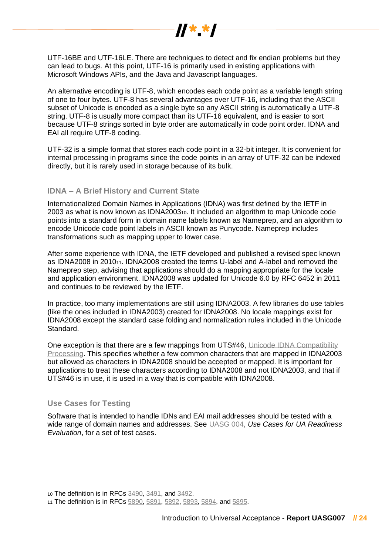

UTF-16BE and UTF-16LE. There are techniques to detect and fix endian problems but they can lead to bugs. At this point, UTF-16 is primarily used in existing applications with Microsoft Windows APIs, and the Java and Javascript languages.

An alternative encoding is UTF-8, which encodes each code point as a variable length string of one to four bytes. UTF-8 has several advantages over UTF-16, including that the ASCII subset of Unicode is encoded as a single byte so any ASCII string is automatically a UTF-8 string. UTF-8 is usually more compact than its UTF-16 equivalent, and is easier to sort because UTF-8 strings sorted in byte order are automatically in code point order. IDNA and EAI all require UTF-8 coding.

UTF-32 is a simple format that stores each code point in a 32-bit integer. It is convenient for internal processing in programs since the code points in an array of UTF-32 can be indexed directly, but it is rarely used in storage because of its bulk.

#### **IDNA – A Brief History and Current State**

Internationalized Domain Names in Applications (IDNA) was first defined by the IETF in 2003 as what is now known as IDNA200310. It included an algorithm to map Unicode code points into a standard form in domain name labels known as Nameprep, and an algorithm to encode Unicode code point labels in ASCII known as Punycode. Nameprep includes transformations such as mapping upper to lower case.

After some experience with IDNA, the IETF developed and published a revised spec known as IDNA2008 in 201011. IDNA2008 created the terms U-label and A-label and removed the Nameprep step, advising that applications should do a mapping appropriate for the locale and application environment. IDNA2008 was updated for Unicode 6.0 by RFC 6452 in 2011 and continues to be reviewed by the IETF.

In practice, too many implementations are still using IDNA2003. A few libraries do use tables (like the ones included in IDNA2003) created for IDNA2008. No locale mappings exist for IDNA2008 except the standard case folding and normalization rules included in the Unicode Standard.

One exception is that there are a few mappings from UTS#46, [Unicode IDNA Compatibility](https://www.unicode.org/reports/tr46/#Mapping)  [Processing.](https://www.unicode.org/reports/tr46/#Mapping) This specifies whether a few common characters that are mapped in IDNA2003 but allowed as characters in IDNA2008 should be accepted or mapped. It is important for applications to treat these characters according to IDNA2008 and not IDNA2003, and that if UTS#46 is in use, it is used in a way that is compatible with IDNA2008.

#### **Use Cases for Testing**

Software that is intended to handle IDNs and EAI mail addresses should be tested with a wide range of domain names and addresses. See [UASG 004,](https://uasg.tech/wp-content/uploads/documents/UASG004-en-digital.pdf) *Use Cases for UA Readiness Evaluation*, for a set of test cases.

<sup>10</sup> The definition is in RFCs [3490,](https://tools.ietf.org/html/rfc3490) [3491,](https://tools.ietf.org/html/rfc3491) and [3492.](https://www.ietf.org/rfc/rfc3492.txt)

<sup>11</sup> The definition is in RFCs [5890,](https://tools.ietf.org/html/rfc5890) [5891,](https://tools.ietf.org/html/rfc5891) [5892,](https://tools.ietf.org/html/rfc5892) [5893,](https://tools.ietf.org/html/rfc5893) [5894,](https://tools.ietf.org/html/rfc5894) an[d 5895.](https://tools.ietf.org/html/rfc5895)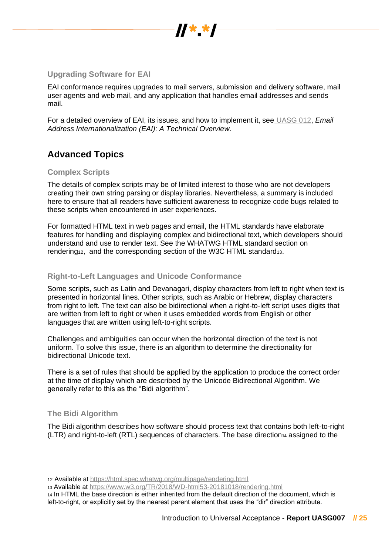

#### **Upgrading Software for EAI**

EAI conformance requires upgrades to mail servers, submission and delivery software, mail user agents and web mail, and any application that handles email addresses and sends mail.

For a detailed overview of EAI, its issues, and how to implement it, see [UASG 012,](https://uasg.tech/wp-content/uploads/documents/UASG012-en-digital.pdf) *Email Address Internationalization (EAI): A Technical Overview.*

## **Advanced Topics**

#### **Complex Scripts**

The details of complex scripts may be of limited interest to those who are not developers creating their own string parsing or display libraries. Nevertheless, a summary is included here to ensure that all readers have sufficient awareness to recognize code bugs related to these scripts when encountered in user experiences.

For formatted HTML text in web pages and email, the HTML standards have elaborate features for handling and displaying complex and bidirectional text, which developers should understand and use to render text. See the WHATWG HTML standard section on rendering<sub>12</sub>, and the corresponding section of the W3C HTML standard<sub>13</sub>.

#### **Right-to-Left Languages and Unicode Conformance**

Some scripts, such as Latin and Devanagari, display characters from left to right when text is presented in horizontal lines. Other scripts, such as Arabic or Hebrew, display characters from right to left. The text can also be bidirectional when a right-to-left script uses digits that are written from left to right or when it uses embedded words from English or other languages that are written using left-to-right scripts.

Challenges and ambiguities can occur when the horizontal direction of the text is not uniform. To solve this issue, there is an algorithm to determine the directionality for bidirectional Unicode text.

There is a set of rules that should be applied by the application to produce the correct order at the time of display which are described by the Unicode Bidirectional Algorithm. We generally refer to this as the "Bidi algorithm".

#### **The Bidi Algorithm**

The Bidi algorithm describes how software should process text that contains both left-to-right (LTR) and right-to-left (RTL) sequences of characters. The base direction**<sup>14</sup>** assigned to the

<sup>12</sup> Available at<https://html.spec.whatwg.org/multipage/rendering.html>

<sup>13</sup> Available at<https://www.w3.org/TR/2018/WD-html53-20181018/rendering.html>

<sup>14</sup> In HTML the base direction is either inherited from the default direction of the document, which is left-to-right, or explicitly set by the nearest parent element that uses the "dir" direction attribute.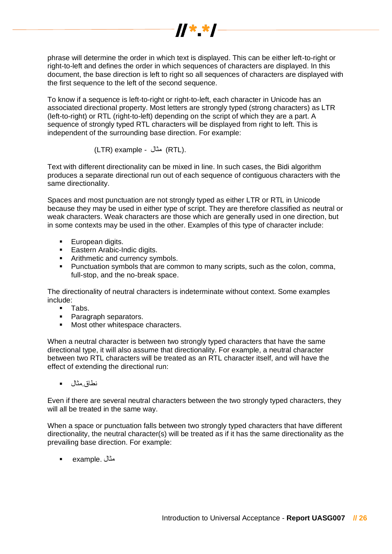

phrase will determine the order in which text is displayed. This can be either left-to-right or right-to-left and defines the order in which sequences of characters are displayed. In this document, the base direction is left to right so all sequences of characters are displayed with the first sequence to the left of the second sequence.

To know if a sequence is left-to-right or right-to-left, each character in Unicode has an associated directional property. Most letters are strongly typed (strong characters) as LTR (left-to-right) or RTL (right-to-left) depending on the script of which they are a part. A sequence of strongly typed RTL characters will be displayed from right to left. This is independent of the surrounding base direction. For example:

(LTR) example - مثال $(RTL)$ .

Text with different directionality can be mixed in line. In such cases, the Bidi algorithm produces a separate directional run out of each sequence of contiguous characters with the same directionality.

Spaces and most punctuation are not strongly typed as either LTR or RTL in Unicode because they may be used in either type of script. They are therefore classified as neutral or weak characters. Weak characters are those which are generally used in one direction, but in some contexts may be used in the other. Examples of this type of character include:

- European digits.
- **Eastern Arabic-Indic digits.**
- **■** Arithmetic and currency symbols.
- Punctuation symbols that are common to many scripts, such as the colon, comma, full-stop, and the no-break space.

The directionality of neutral characters is indeterminate without context. Some examples include:

- Tabs.
- Paragraph separators.
- Most other whitespace characters.

When a neutral character is between two strongly typed characters that have the same directional type, it will also assume that directionality. For example, a neutral character between two RTL characters will be treated as an RTL character itself, and will have the effect of extending the directional run:

نطاق.مثال ▪

Even if there are several neutral characters between the two strongly typed characters, they will all be treated in the same way.

When a space or punctuation falls between two strongly typed characters that have different directionality, the neutral character(s) will be treated as if it has the same directionality as the prevailing base direction. For example:

مثال .example▪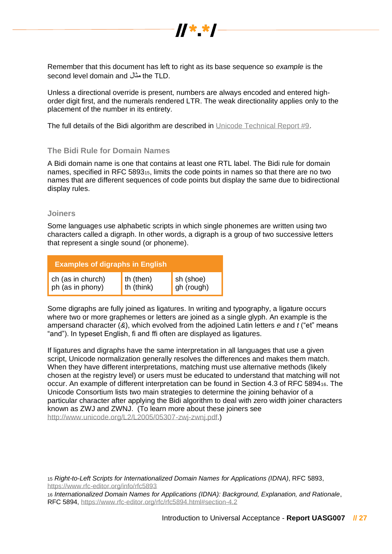

Remember that this document has left to right as its base sequence so *example* is the second level domain and مثال the TLD.

Unless a directional override is present, numbers are always encoded and entered highorder digit first, and the numerals rendered LTR. The weak directionality applies only to the placement of the number in its entirety.

The full details of the Bidi algorithm are described in [Unicode Technical Report #9.](http://unicode.org/reports/tr9)

#### **The Bidi Rule for Domain Names**

A Bidi domain name is one that contains at least one RTL label. The Bidi rule for domain names, specified in RFC 589315, limits the code points in names so that there are no two names that are different sequences of code points but display the same due to bidirectional display rules.

#### **Joiners**

Some languages use alphabetic scripts in which single phonemes are written using two characters called a digraph. In other words, a digraph is a group of two successive letters that represent a single sound (or phoneme).

| <b>Examples of digraphs in English</b> |                         |                         |  |
|----------------------------------------|-------------------------|-------------------------|--|
| ch (as in church)<br>ph (as in phony)  | th (then)<br>th (think) | sh (shoe)<br>gh (rough) |  |

Some digraphs are fully joined as ligatures. In writing and typography, a ligature occurs where two or more graphemes or letters are joined as a single glyph. An example is the ampersand character (*&*), which evolved from the adjoined Latin letters *e* and *t* ("et" means "and"). In typeset English, fi and ffi often are displayed as ligatures.

If ligatures and digraphs have the same interpretation in all languages that use a given script, Unicode normalization generally resolves the differences and makes them match. When they have different interpretations, matching must use alternative methods (likely chosen at the registry level) or users must be educated to understand that matching will not occur. An example of different interpretation can be found in Section 4.3 of RFC 589416. The Unicode Consortium lists two main strategies to determine the joining behavior of a particular character after applying the Bidi algorithm to deal with zero width joiner characters known as ZWJ and ZWNJ. (To learn more about these joiners see [http://www.unicode.org/L2/L2005/05307-zwj-zwnj.pdf.](http://www.unicode.org/L2/L2005/05307-zwj-zwnj.pdf))

<sup>15</sup> *Right-to-Left Scripts for Internationalized Domain Names for Applications (IDNA)*, RFC 5893, <https://www.rfc-editor.org/info/rfc5893>

<sup>16</sup> *Internationalized Domain Names for Applications (IDNA): Background, Explanation, and Rationale*, RFC 5894,<https://www.rfc-editor.org/rfc/rfc5894.html#section-4.2>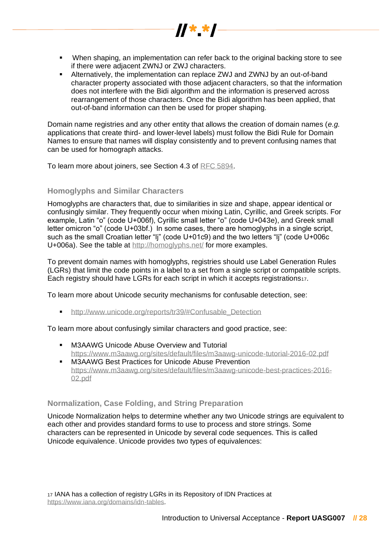▪ When shaping, an implementation can refer back to the original backing store to see if there were adjacent ZWNJ or ZWJ characters.

 $\frac{1}{2}$   $\frac{1}{2}$   $\frac{1}{2}$   $\frac{1}{2}$   $\frac{1}{2}$   $\frac{1}{2}$ 

■ Alternatively, the implementation can replace ZWJ and ZWNJ by an out-of-band character property associated with those adjacent characters, so that the information does not interfere with the Bidi algorithm and the information is preserved across rearrangement of those characters. Once the Bidi algorithm has been applied, that out-of-band information can then be used for proper shaping.

Domain name registries and any other entity that allows the creation of domain names (*e.g.* applications that create third- and lower-level labels) must follow the Bidi Rule for Domain Names to ensure that names will display consistently and to prevent confusing names that can be used for homograph attacks.

To learn more about joiners, see Section 4.3 of [RFC 5894.](https://tools.ietf.org/html/rfc5894)

#### **Homoglyphs and Similar Characters**

Homoglyphs are characters that, due to similarities in size and shape, appear identical or confusingly similar. They frequently occur when mixing Latin, Cyrillic, and Greek scripts. For example, Latin "o" (code U+006f), Cyrillic small letter "o" (code U+043e), and Greek small letter omicron "ο" (code U+03bf.) In some cases, there are homoglyphs in a single script, such as the small Croatian letter "li" (code U+01c9) and the two letters "li" (code U+006c U+006a). See the table at<http://homoglyphs.net/> for more examples.

To prevent domain names with homoglyphs, registries should use Label Generation Rules (LGRs) that limit the code points in a label to a set from a single script or compatible scripts. Each registry should have LGRs for each script in which it accepts registrations17.

To learn more about Unicode security mechanisms for confusable detection, see:

■ http://www.unicode.org/reports/tr39/#Confusable\_Detection

#### To learn more about confusingly similar characters and good practice, see:

- **M3AAWG Unicode Abuse Overview and Tutorial** <https://www.m3aawg.org/sites/default/files/m3aawg-unicode-tutorial-2016-02.pdf>
- **■** M3AAWG Best Practices for Unicode Abuse Prevention [https://www.m3aawg.org/sites/default/files/m3aawg-unicode-best-practices-2016-](https://www.m3aawg.org/sites/default/files/m3aawg-unicode-best-practices-2016-02.pdf) [02.pdf](https://www.m3aawg.org/sites/default/files/m3aawg-unicode-best-practices-2016-02.pdf)

#### **Normalization, Case Folding, and String Preparation**

Unicode Normalization helps to determine whether any two Unicode strings are equivalent to each other and provides standard forms to use to process and store strings. Some characters can be represented in Unicode by several code sequences. This is called Unicode equivalence. Unicode provides two types of equivalences: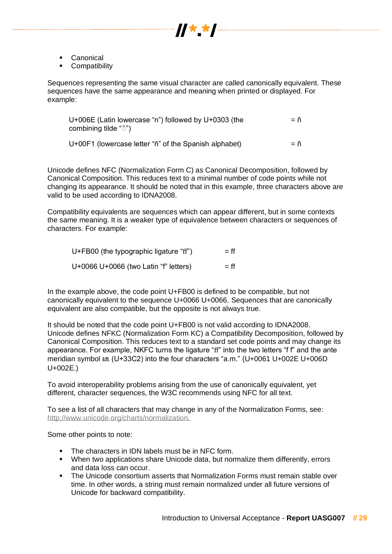

- Canonical
- Compatibility

Sequences representing the same visual character are called canonically equivalent. These sequences have the same appearance and meaning when printed or displayed. For example:

| U+006E (Latin lowercase "n") followed by U+0303 (the<br>combining tilde "~") | $= n$ |
|------------------------------------------------------------------------------|-------|
| U+00F1 (lowercase letter "n" of the Spanish alphabet)                        | $=$ n |

Unicode defines NFC (Normalization Form C) as Canonical Decomposition, followed by Canonical Composition. This reduces text to a minimal number of code points while not changing its appearance. It should be noted that in this example, three characters above are valid to be used according to IDNA2008.

Compatibility equivalents are sequences which can appear different, but in some contexts the same meaning. It is a weaker type of equivalence between characters or sequences of characters. For example:

| U+FB00 (the typographic ligature "ff") | $=$ ff |
|----------------------------------------|--------|
| U+0066 U+0066 (two Latin "f" letters)  | $=$ ff |

In the example above, the code point U+FB00 is defined to be compatible, but not canonically equivalent to the sequence U+0066 U+0066. Sequences that are canonically equivalent are also compatible, but the opposite is not always true.

It should be noted that the code point U+FB00 is not valid according to IDNA2008. Unicode defines NFKC (Normalization Form KC) a Compatibility Decomposition, followed by Canonical Composition. This reduces text to a standard set code points and may change its appearance. For example, NKFC turns the ligature "ff" into the two letters "f f" and the ante meridian symbol am (U+33C2) into the four characters "a.m." (U+0061 U+002E U+006D U+002E.)

To avoid interoperability problems arising from the use of canonically equivalent, yet different, character sequences, the W3C recommends using NFC for all text.

To see a list of all characters that may change in any of the Normalization Forms, see[:](http://www.unicode.org/charts/normalization) <http://www.unicode.org/charts/normalization.>

Some other points to note:

- The characters in IDN labels must be in NFC form.
- When two applications share Unicode data, but normalize them differently, errors and data loss can occur.
- **The Unicode consortium asserts that Normalization Forms must remain stable over** time. In other words, a string must remain normalized under all future versions of Unicode for backward compatibility.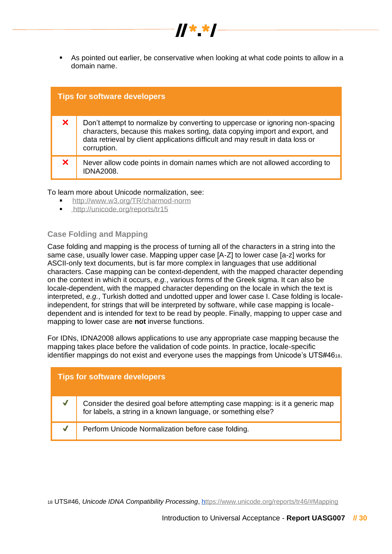

 $\frac{1}{2}$   $\frac{1}{2}$   $\frac{1}{2}$   $\frac{1}{2}$   $\frac{1}{2}$   $\frac{1}{2}$ 

|    | <b>Tips for software developers</b>                                                                                                                                                                                                                           |
|----|---------------------------------------------------------------------------------------------------------------------------------------------------------------------------------------------------------------------------------------------------------------|
| X. | Don't attempt to normalize by converting to uppercase or ignoring non-spacing<br>characters, because this makes sorting, data copying import and export, and<br>data retrieval by client applications difficult and may result in data loss or<br>corruption. |
| X. | Never allow code points in domain names which are not allowed according to<br><b>IDNA2008.</b>                                                                                                                                                                |

To learn more about Unicode normalization, see:

- <http://www.w3.org/TR/charmod-norm>
- <http://unicode.org/reports/tr15>

#### **Case Folding and Mapping**

Case folding and mapping is the process of turning all of the characters in a string into the same case, usually lower case. Mapping upper case [A-Z] to lower case [a-z] works for ASCII-only text documents, but is far more complex in languages that use additional characters. Case mapping can be context-dependent, with the mapped character depending on the context in which it occurs, *e.g.*, various forms of the Greek sigma. It can also be locale-dependent, with the mapped character depending on the locale in which the text is interpreted, *e.g.*, Turkish dotted and undotted upper and lower case I. Case folding is localeindependent, for strings that will be interpreted by software, while case mapping is localedependent and is intended for text to be read by people. Finally, mapping to upper case and mapping to lower case are **not** inverse functions.

For IDNs, IDNA2008 allows applications to use any appropriate case mapping because the mapping takes place before the validation of code points. In practice, locale-specific identifier mappings do not exist and everyone uses the mappings from Unicode's UTS#4618.

|              | <b>Tips for software developers</b>                                                                                                           |
|--------------|-----------------------------------------------------------------------------------------------------------------------------------------------|
| $\checkmark$ | Consider the desired goal before attempting case mapping: is it a generic map<br>for labels, a string in a known language, or something else? |
|              | Perform Unicode Normalization before case folding.                                                                                            |

<sup>18</sup> UTS#46, *Unicode IDNA Compatibility Processing*,<https://www.unicode.org/reports/tr46/#Mapping>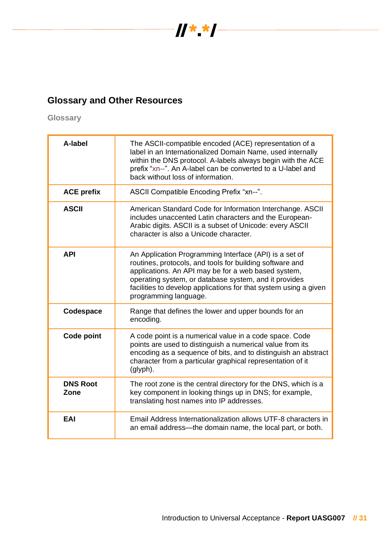

## **Glossary and Other Resources**

**Glossary**

| A-label                 | The ASCII-compatible encoded (ACE) representation of a<br>label in an Internationalized Domain Name, used internally<br>within the DNS protocol. A-labels always begin with the ACE<br>prefix "xn--". An A-label can be converted to a U-label and<br>back without loss of information.                                         |
|-------------------------|---------------------------------------------------------------------------------------------------------------------------------------------------------------------------------------------------------------------------------------------------------------------------------------------------------------------------------|
| <b>ACE prefix</b>       | ASCII Compatible Encoding Prefix "xn--".                                                                                                                                                                                                                                                                                        |
| <b>ASCII</b>            | American Standard Code for Information Interchange. ASCII<br>includes unaccented Latin characters and the European-<br>Arabic digits. ASCII is a subset of Unicode: every ASCII<br>character is also a Unicode character.                                                                                                       |
| <b>API</b>              | An Application Programming Interface (API) is a set of<br>routines, protocols, and tools for building software and<br>applications. An API may be for a web based system,<br>operating system, or database system, and it provides<br>facilities to develop applications for that system using a given<br>programming language. |
| Codespace               | Range that defines the lower and upper bounds for an<br>encoding.                                                                                                                                                                                                                                                               |
| Code point              | A code point is a numerical value in a code space. Code<br>points are used to distinguish a numerical value from its<br>encoding as a sequence of bits, and to distinguish an abstract<br>character from a particular graphical representation of it<br>(glyph).                                                                |
| <b>DNS Root</b><br>Zone | The root zone is the central directory for the DNS, which is a<br>key component in looking things up in DNS; for example,<br>translating host names into IP addresses.                                                                                                                                                          |
| EAI                     | Email Address Internationalization allows UTF-8 characters in<br>an email address—the domain name, the local part, or both.                                                                                                                                                                                                     |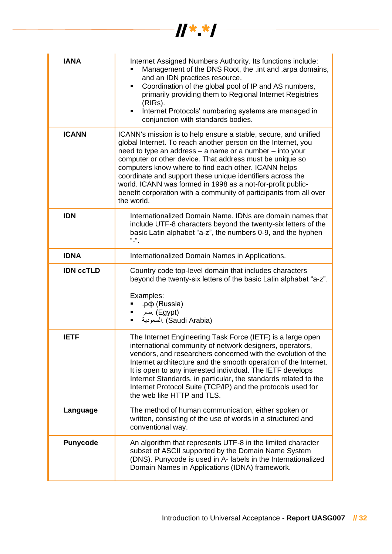| <b>IANA</b>      | Internet Assigned Numbers Authority. Its functions include:<br>Management of the DNS Root, the .int and .arpa domains,<br>and an IDN practices resource.<br>Coordination of the global pool of IP and AS numbers,<br>٠<br>primarily providing them to Regional Internet Registries<br>(RIRs).<br>Internet Protocols' numbering systems are managed in<br>٠<br>conjunction with standards bodies.                                                                                                                                  |
|------------------|-----------------------------------------------------------------------------------------------------------------------------------------------------------------------------------------------------------------------------------------------------------------------------------------------------------------------------------------------------------------------------------------------------------------------------------------------------------------------------------------------------------------------------------|
| <b>ICANN</b>     | ICANN's mission is to help ensure a stable, secure, and unified<br>global Internet. To reach another person on the Internet, you<br>need to type an address - a name or a number - into your<br>computer or other device. That address must be unique so<br>computers know where to find each other. ICANN helps<br>coordinate and support these unique identifiers across the<br>world. ICANN was formed in 1998 as a not-for-profit public-<br>benefit corporation with a community of participants from all over<br>the world. |
| <b>IDN</b>       | Internationalized Domain Name. IDNs are domain names that<br>include UTF-8 characters beyond the twenty-six letters of the<br>basic Latin alphabet "a-z", the numbers 0-9, and the hyphen<br>$\mathbf{u}$ $\mathbf{u}$                                                                                                                                                                                                                                                                                                            |
| <b>IDNA</b>      | Internationalized Domain Names in Applications.                                                                                                                                                                                                                                                                                                                                                                                                                                                                                   |
| <b>IDN CCTLD</b> | Country code top-level domain that includes characters<br>beyond the twenty-six letters of the basic Latin alphabet "a-z".<br>Examples:<br>.pф (Russia)<br>(Egypt) .صر<br>٠<br>السعودية (Saudi Arabia)                                                                                                                                                                                                                                                                                                                            |
| <b>IETF</b>      | The Internet Engineering Task Force (IETF) is a large open<br>international community of network designers, operators,<br>vendors, and researchers concerned with the evolution of the<br>Internet architecture and the smooth operation of the Internet.<br>It is open to any interested individual. The IETF develops<br>Internet Standards, in particular, the standards related to the<br>Internet Protocol Suite (TCP/IP) and the protocols used for<br>the web like HTTP and TLS.                                           |
| Language         | The method of human communication, either spoken or<br>written, consisting of the use of words in a structured and<br>conventional way.                                                                                                                                                                                                                                                                                                                                                                                           |
| <b>Punycode</b>  | An algorithm that represents UTF-8 in the limited character<br>subset of ASCII supported by the Domain Name System<br>(DNS). Punycode is used in A- labels in the Internationalized<br>Domain Names in Applications (IDNA) framework.                                                                                                                                                                                                                                                                                             |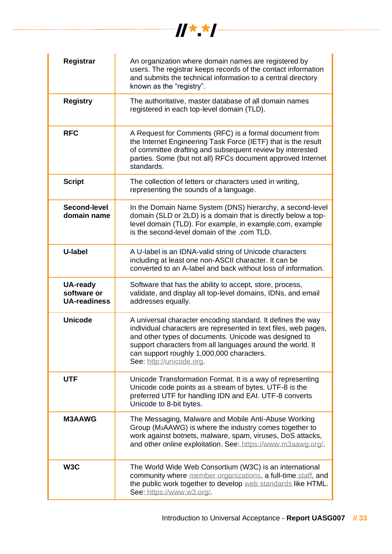

| Registrar                                             | An organization where domain names are registered by<br>users. The registrar keeps records of the contact information<br>and submits the technical information to a central directory<br>known as the "registry".                                                                                                              |
|-------------------------------------------------------|--------------------------------------------------------------------------------------------------------------------------------------------------------------------------------------------------------------------------------------------------------------------------------------------------------------------------------|
| <b>Registry</b>                                       | The authoritative, master database of all domain names<br>registered in each top-level domain (TLD).                                                                                                                                                                                                                           |
| <b>RFC</b>                                            | A Request for Comments (RFC) is a formal document from<br>the Internet Engineering Task Force (IETF) that is the result<br>of committee drafting and subsequent review by interested<br>parties. Some (but not all) RFCs document approved Internet<br>standards.                                                              |
| <b>Script</b>                                         | The collection of letters or characters used in writing,<br>representing the sounds of a language.                                                                                                                                                                                                                             |
| Second-level<br>domain name                           | In the Domain Name System (DNS) hierarchy, a second-level<br>domain (SLD or 2LD) is a domain that is directly below a top-<br>level domain (TLD). For example, in example.com, example<br>is the second-level domain of the .com TLD.                                                                                          |
| U-label                                               | A U-label is an IDNA-valid string of Unicode characters<br>including at least one non-ASCII character. It can be<br>converted to an A-label and back without loss of information.                                                                                                                                              |
| <b>UA-ready</b><br>software or<br><b>UA-readiness</b> | Software that has the ability to accept, store, process,<br>validate, and display all top-level domains, IDNs, and email<br>addresses equally.                                                                                                                                                                                 |
| <b>Unicode</b>                                        | A universal character encoding standard. It defines the way<br>individual characters are represented in text files, web pages,<br>and other types of documents. Unicode was designed to<br>support characters from all languages around the world. It<br>can support roughly 1,000,000 characters.<br>See: http://unicode.org. |
| <b>UTF</b>                                            | Unicode Transformation Format. It is a way of representing<br>Unicode code points as a stream of bytes. UTF-8 is the<br>preferred UTF for handling IDN and EAI. UTF-8 converts<br>Unicode to 8-bit bytes.                                                                                                                      |
| <b>M3AAWG</b>                                         | The Messaging, Malware and Mobile Anti-Abuse Working<br>Group (M <sub>3</sub> AAWG) is where the industry comes together to<br>work against botnets, malware, spam, viruses, DoS attacks,<br>and other online exploitation. See: https://www.m3aawg.org/.                                                                      |
| W3C                                                   | The World Wide Web Consortium (W3C) is an international<br>community where member organizations, a full-time staff, and<br>the public work together to develop web standards like HTML.<br>See: https://www.w3.org/.                                                                                                           |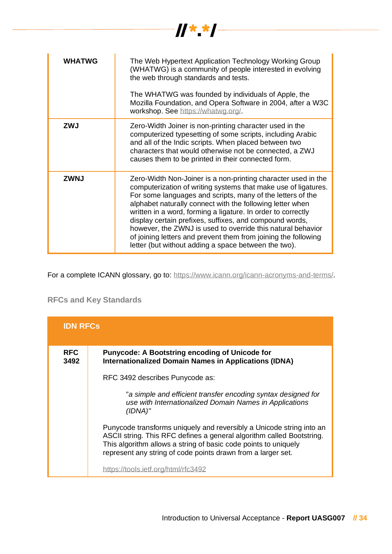

| WHATWG      | The Web Hypertext Application Technology Working Group<br>(WHATWG) is a community of people interested in evolving<br>the web through standards and tests.<br>The WHATWG was founded by individuals of Apple, the<br>Mozilla Foundation, and Opera Software in 2004, after a W3C<br>workshop. See https://whatwg.org/.                                                                                                                                                                                                                                                         |
|-------------|--------------------------------------------------------------------------------------------------------------------------------------------------------------------------------------------------------------------------------------------------------------------------------------------------------------------------------------------------------------------------------------------------------------------------------------------------------------------------------------------------------------------------------------------------------------------------------|
| <b>ZWJ</b>  | Zero-Width Joiner is non-printing character used in the<br>computerized typesetting of some scripts, including Arabic<br>and all of the Indic scripts. When placed between two<br>characters that would otherwise not be connected, a ZWJ<br>causes them to be printed in their connected form.                                                                                                                                                                                                                                                                                |
| <b>ZWNJ</b> | Zero-Width Non-Joiner is a non-printing character used in the<br>computerization of writing systems that make use of ligatures.<br>For some languages and scripts, many of the letters of the<br>alphabet naturally connect with the following letter when<br>written in a word, forming a ligature. In order to correctly<br>display certain prefixes, suffixes, and compound words,<br>however, the ZWNJ is used to override this natural behavior<br>of joining letters and prevent them from joining the following<br>letter (but without adding a space between the two). |

For a complete ICANN glossary, go to: [https://www.icann.org/icann-acronyms-and-terms/.](https://www.icann.org/icann-acronyms-and-terms/)

## **RFCs and Key Standards**

| <b>IDN RFCs</b>    |                                                                                                                                                                                                                                                                                  |
|--------------------|----------------------------------------------------------------------------------------------------------------------------------------------------------------------------------------------------------------------------------------------------------------------------------|
| <b>RFC</b><br>3492 | <b>Punycode: A Bootstring encoding of Unicode for</b><br><b>Internationalized Domain Names in Applications (IDNA)</b>                                                                                                                                                            |
|                    | RFC 3492 describes Punycode as:                                                                                                                                                                                                                                                  |
|                    | "a simple and efficient transfer encoding syntax designed for<br>use with Internationalized Domain Names in Applications<br>(IDNA)"                                                                                                                                              |
|                    | Punycode transforms uniquely and reversibly a Unicode string into an<br>ASCII string. This RFC defines a general algorithm called Bootstring.<br>This algorithm allows a string of basic code points to uniquely<br>represent any string of code points drawn from a larger set. |
|                    | https://tools.ietf.org/html/rfc3492                                                                                                                                                                                                                                              |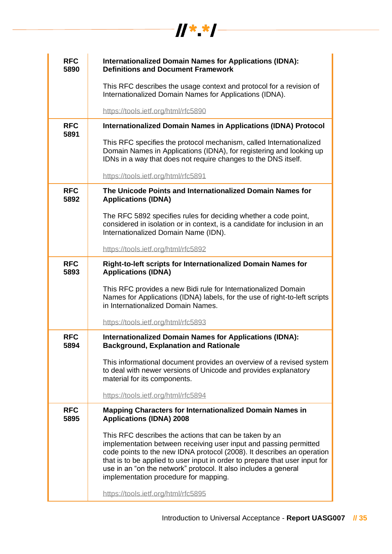| <b>RFC</b>         | <b>Internationalized Domain Names for Applications (IDNA):</b>                                                                                                                                                                                                                                                                                                                                   |
|--------------------|--------------------------------------------------------------------------------------------------------------------------------------------------------------------------------------------------------------------------------------------------------------------------------------------------------------------------------------------------------------------------------------------------|
| 5890               | <b>Definitions and Document Framework</b>                                                                                                                                                                                                                                                                                                                                                        |
|                    | This RFC describes the usage context and protocol for a revision of<br>Internationalized Domain Names for Applications (IDNA).                                                                                                                                                                                                                                                                   |
|                    | https://tools.ietf.org/html/rfc5890                                                                                                                                                                                                                                                                                                                                                              |
| <b>RFC</b><br>5891 | Internationalized Domain Names in Applications (IDNA) Protocol                                                                                                                                                                                                                                                                                                                                   |
|                    | This RFC specifies the protocol mechanism, called Internationalized<br>Domain Names in Applications (IDNA), for registering and looking up<br>IDNs in a way that does not require changes to the DNS itself.                                                                                                                                                                                     |
|                    | https://tools.ietf.org/html/rfc5891                                                                                                                                                                                                                                                                                                                                                              |
| <b>RFC</b><br>5892 | The Unicode Points and Internationalized Domain Names for<br><b>Applications (IDNA)</b>                                                                                                                                                                                                                                                                                                          |
|                    | The RFC 5892 specifies rules for deciding whether a code point,<br>considered in isolation or in context, is a candidate for inclusion in an<br>Internationalized Domain Name (IDN).                                                                                                                                                                                                             |
|                    | https://tools.ietf.org/html/rfc5892                                                                                                                                                                                                                                                                                                                                                              |
| <b>RFC</b><br>5893 | Right-to-left scripts for Internationalized Domain Names for<br><b>Applications (IDNA)</b>                                                                                                                                                                                                                                                                                                       |
|                    | This RFC provides a new Bidi rule for Internationalized Domain<br>Names for Applications (IDNA) labels, for the use of right-to-left scripts<br>in Internationalized Domain Names.                                                                                                                                                                                                               |
|                    | https://tools.ietf.org/html/rfc5893                                                                                                                                                                                                                                                                                                                                                              |
| <b>RFC</b><br>5894 | <b>Internationalized Domain Names for Applications (IDNA):</b><br><b>Background, Explanation and Rationale</b>                                                                                                                                                                                                                                                                                   |
|                    | This informational document provides an overview of a revised system<br>to deal with newer versions of Unicode and provides explanatory<br>material for its components.                                                                                                                                                                                                                          |
|                    | https://tools.ietf.org/html/rfc5894                                                                                                                                                                                                                                                                                                                                                              |
| <b>RFC</b><br>5895 | <b>Mapping Characters for Internationalized Domain Names in</b><br><b>Applications (IDNA) 2008</b>                                                                                                                                                                                                                                                                                               |
|                    | This RFC describes the actions that can be taken by an<br>implementation between receiving user input and passing permitted<br>code points to the new IDNA protocol (2008). It describes an operation<br>that is to be applied to user input in order to prepare that user input for<br>use in an "on the network" protocol. It also includes a general<br>implementation procedure for mapping. |
|                    | https://tools.ietf.org/html/rfc5895                                                                                                                                                                                                                                                                                                                                                              |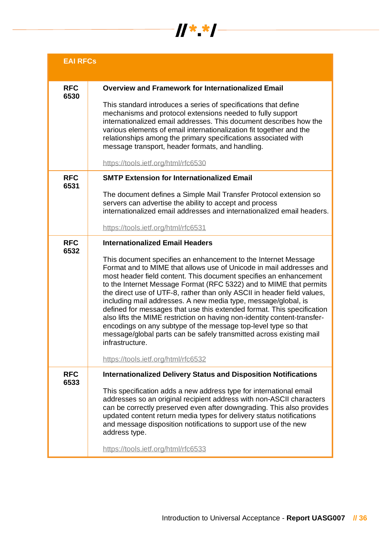

| <b>EAI RFCs</b>    |                                                                                                                                                                                                                                                                                                                                                                                                                                                                                                                                                                                                                                                                                                                                                                                                                                  |
|--------------------|----------------------------------------------------------------------------------------------------------------------------------------------------------------------------------------------------------------------------------------------------------------------------------------------------------------------------------------------------------------------------------------------------------------------------------------------------------------------------------------------------------------------------------------------------------------------------------------------------------------------------------------------------------------------------------------------------------------------------------------------------------------------------------------------------------------------------------|
| <b>RFC</b>         | <b>Overview and Framework for Internationalized Email</b>                                                                                                                                                                                                                                                                                                                                                                                                                                                                                                                                                                                                                                                                                                                                                                        |
| 6530               | This standard introduces a series of specifications that define<br>mechanisms and protocol extensions needed to fully support<br>internationalized email addresses. This document describes how the<br>various elements of email internationalization fit together and the<br>relationships among the primary specifications associated with<br>message transport, header formats, and handling.                                                                                                                                                                                                                                                                                                                                                                                                                                 |
|                    | https://tools.ietf.org/html/rfc6530                                                                                                                                                                                                                                                                                                                                                                                                                                                                                                                                                                                                                                                                                                                                                                                              |
| <b>RFC</b><br>6531 | <b>SMTP Extension for Internationalized Email</b>                                                                                                                                                                                                                                                                                                                                                                                                                                                                                                                                                                                                                                                                                                                                                                                |
|                    | The document defines a Simple Mail Transfer Protocol extension so<br>servers can advertise the ability to accept and process<br>internationalized email addresses and internationalized email headers.                                                                                                                                                                                                                                                                                                                                                                                                                                                                                                                                                                                                                           |
|                    | https://tools.ietf.org/html/rfc6531                                                                                                                                                                                                                                                                                                                                                                                                                                                                                                                                                                                                                                                                                                                                                                                              |
| <b>RFC</b><br>6532 | <b>Internationalized Email Headers</b><br>This document specifies an enhancement to the Internet Message<br>Format and to MIME that allows use of Unicode in mail addresses and<br>most header field content. This document specifies an enhancement<br>to the Internet Message Format (RFC 5322) and to MIME that permits<br>the direct use of UTF-8, rather than only ASCII in header field values,<br>including mail addresses. A new media type, message/global, is<br>defined for messages that use this extended format. This specification<br>also lifts the MIME restriction on having non-identity content-transfer-<br>encodings on any subtype of the message top-level type so that<br>message/global parts can be safely transmitted across existing mail<br>infrastructure.<br>https://tools.ietf.org/html/rfc6532 |
| <b>RFC</b><br>6533 | <b>Internationalized Delivery Status and Disposition Notifications</b><br>This specification adds a new address type for international email<br>addresses so an original recipient address with non-ASCII characters<br>can be correctly preserved even after downgrading. This also provides<br>updated content return media types for delivery status notifications<br>and message disposition notifications to support use of the new<br>address type.                                                                                                                                                                                                                                                                                                                                                                        |
|                    | https://tools.ietf.org/html/rfc6533                                                                                                                                                                                                                                                                                                                                                                                                                                                                                                                                                                                                                                                                                                                                                                                              |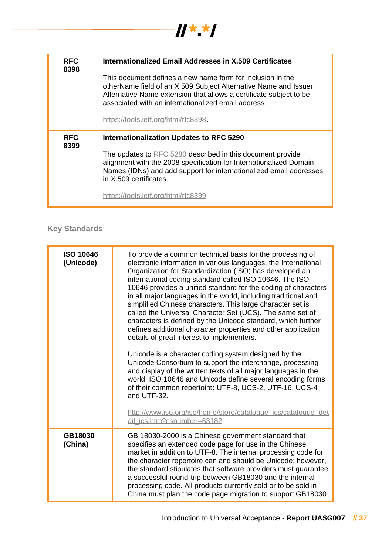| <b>RFC</b><br>8398 | Internationalized Email Addresses in X.509 Certificates<br>This document defines a new name form for inclusion in the<br>otherName field of an X.509 Subject Alternative Name and Issuer<br>Alternative Name extension that allows a certificate subject to be<br>associated with an internationalized email address.<br>https://tools.ietf.org/html/rfc8398. |
|--------------------|---------------------------------------------------------------------------------------------------------------------------------------------------------------------------------------------------------------------------------------------------------------------------------------------------------------------------------------------------------------|
| <b>RFC</b><br>8399 | <b>Internationalization Updates to RFC 5290</b><br>The updates to RFC 5280 described in this document provide<br>alignment with the 2008 specification for Internationalized Domain<br>Names (IDNs) and add support for internationalized email addresses<br>in X.509 certificates.<br>https://tools.ietf.org/html/rfc8399                                    |

**Key Standards**

| <b>ISO 10646</b><br>(Unicode) | To provide a common technical basis for the processing of<br>electronic information in various languages, the International<br>Organization for Standardization (ISO) has developed an<br>international coding standard called ISO 10646. The ISO<br>10646 provides a unified standard for the coding of characters<br>in all major languages in the world, including traditional and<br>simplified Chinese characters. This large character set is<br>called the Universal Character Set (UCS). The same set of<br>characters is defined by the Unicode standard, which further<br>defines additional character properties and other application<br>details of great interest to implementers.<br>Unicode is a character coding system designed by the<br>Unicode Consortium to support the interchange, processing<br>and display of the written texts of all major languages in the<br>world. ISO 10646 and Unicode define several encoding forms<br>of their common repertoire: UTF-8, UCS-2, UTF-16, UCS-4<br>and UTF-32.<br>http://www.iso.org/iso/home/store/catalogue_ics/catalogue_det<br>ail ics.htm?csnumber=63182 |
|-------------------------------|-------------------------------------------------------------------------------------------------------------------------------------------------------------------------------------------------------------------------------------------------------------------------------------------------------------------------------------------------------------------------------------------------------------------------------------------------------------------------------------------------------------------------------------------------------------------------------------------------------------------------------------------------------------------------------------------------------------------------------------------------------------------------------------------------------------------------------------------------------------------------------------------------------------------------------------------------------------------------------------------------------------------------------------------------------------------------------------------------------------------------------|
| GB18030<br>(China)            | GB 18030-2000 is a Chinese government standard that<br>specifies an extended code page for use in the Chinese<br>market in addition to UTF-8. The internal processing code for<br>the character repertoire can and should be Unicode; however,<br>the standard stipulates that software providers must guarantee<br>a successful round-trip between GB18030 and the internal<br>processing code. All products currently sold or to be sold in<br>China must plan the code page migration to support GB18030                                                                                                                                                                                                                                                                                                                                                                                                                                                                                                                                                                                                                   |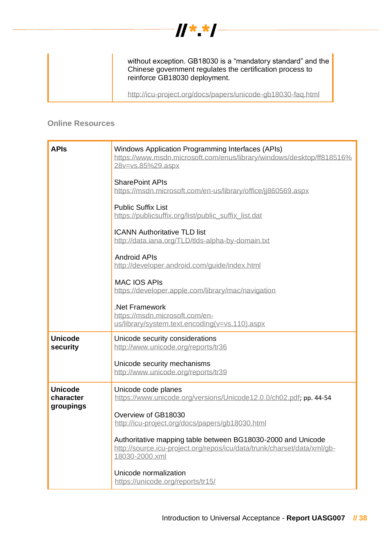

without exception. GB18030 is a "mandatory standard" and the Chinese government regulates the certification process to reinforce GB18030 deployment.

<http://icu-project.org/docs/papers/unicode-gb18030-faq.html>

#### **Online Resources**

| <b>APIs</b>                              | Windows Application Programming Interfaces (APIs)<br>https://www.msdn.microsoft.com/enus/library/windows/desktop/ff818516%<br>28y=ys.85%29.aspx           |
|------------------------------------------|-----------------------------------------------------------------------------------------------------------------------------------------------------------|
|                                          | <b>SharePoint APIs</b><br>https://msdn.microsoft.com/en-us/library/office/jj860569.aspx                                                                   |
|                                          | <b>Public Suffix List</b><br>https://publicsuffix.org/list/public_suffix_list.dat                                                                         |
|                                          | <b>ICANN Authoritative TLD list</b><br>http://data.iana.org/TLD/tlds-alpha-by-domain.txt                                                                  |
|                                          | <b>Android APIs</b><br>http://developer.android.com/guide/index.html                                                                                      |
|                                          | <b>MAC IOS APIS</b><br>https://developer.apple.com/library/mac/navigation                                                                                 |
|                                          | .Net Framework<br>https://msdn.microsoft.com/en-<br>us/library/system.text.encoding(v=vs.110).aspx                                                        |
| <b>Unicode</b><br>security               | Unicode security considerations<br>http://www.unicode.org/reports/tr36                                                                                    |
|                                          | Unicode security mechanisms<br>http://www.unicode.org/reports/tr39                                                                                        |
| <b>Unicode</b><br>character<br>groupings | Unicode code planes<br>https://www.unicode.org/versions/Unicode12.0.0/ch02.pdf; pp. 44-54                                                                 |
|                                          | Overview of GB18030<br>http://icu-project.org/docs/papers/gb18030.html                                                                                    |
|                                          | Authoritative mapping table between BG18030-2000 and Unicode<br>http://source.icu-project.org/repos/icu/data/trunk/charset/data/xml/qb-<br>18030-2000.xml |
|                                          | Unicode normalization<br>https://unicode.org/reports/tr15/                                                                                                |